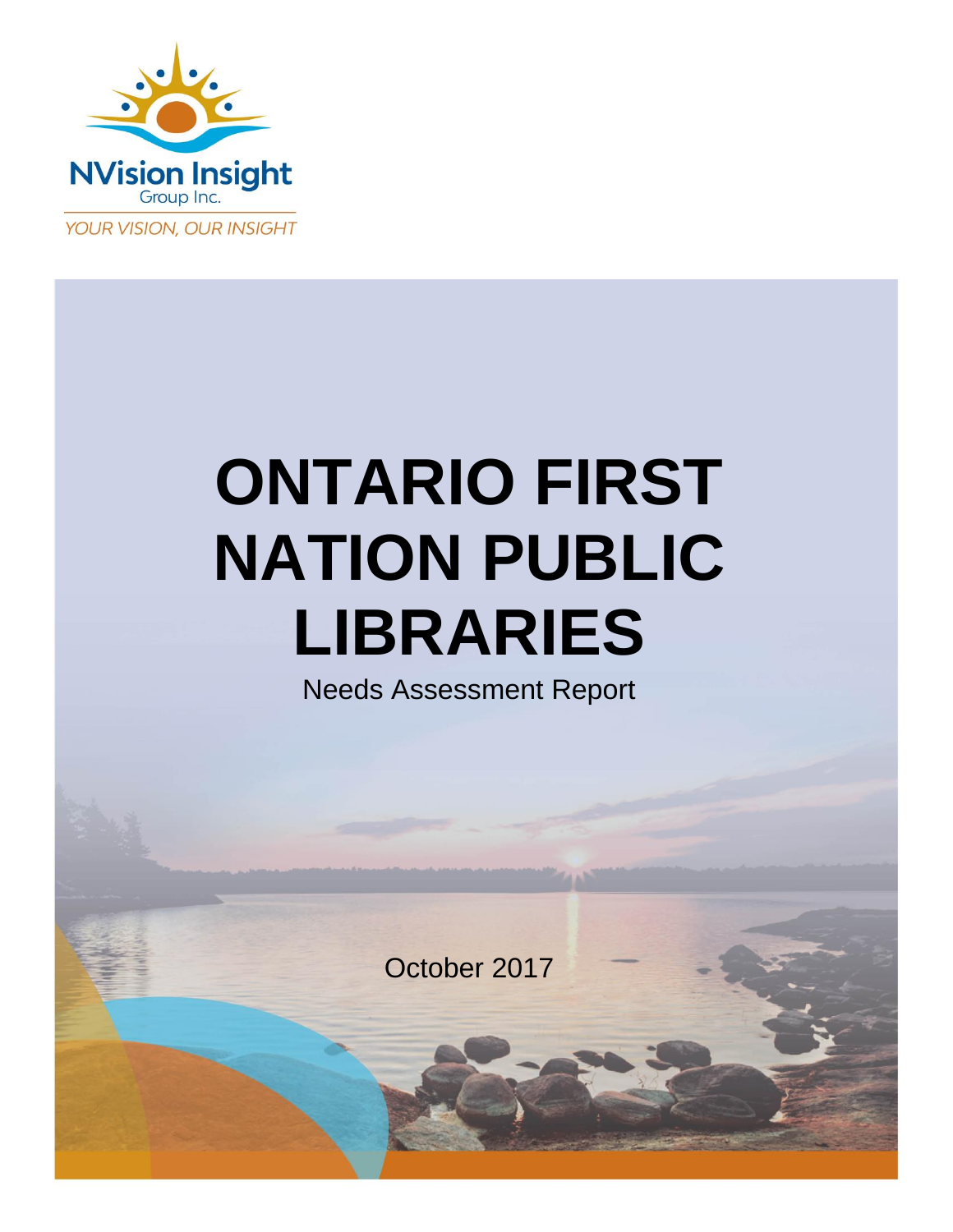

# **ONTARIO FIRST NATION PUBLIC LIBRARIES**

Needs Assessment Report

October 2017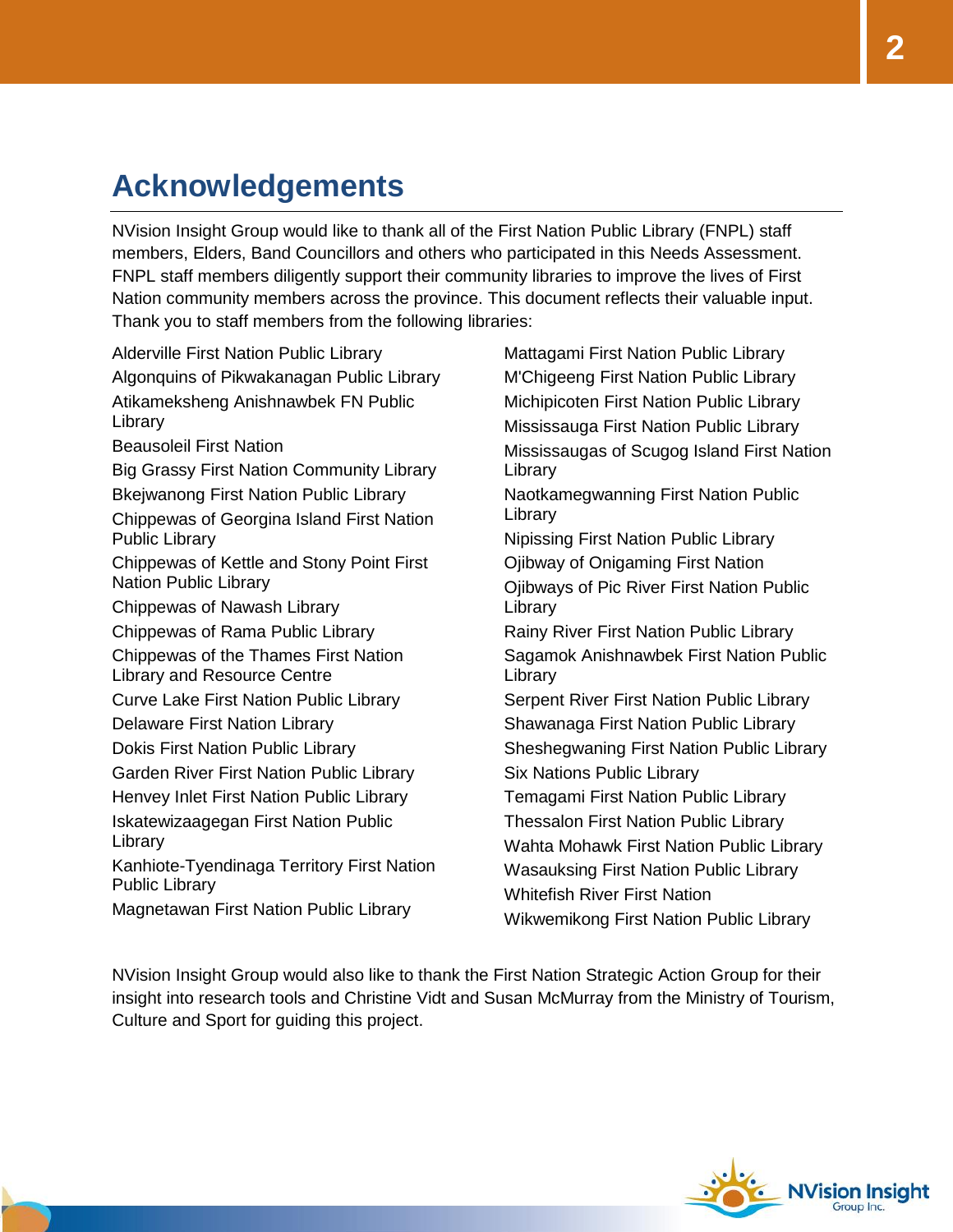# **Acknowledgements**

NVision Insight Group would like to thank all of the First Nation Public Library (FNPL) staff members, Elders, Band Councillors and others who participated in this Needs Assessment. FNPL staff members diligently support their community libraries to improve the lives of First Nation community members across the province. This document reflects their valuable input. Thank you to staff members from the following libraries:

Alderville First Nation Public Library Algonquins of Pikwakanagan Public Library Atikameksheng Anishnawbek FN Public Library Beausoleil First Nation Big Grassy First Nation Community Library Bkejwanong First Nation Public Library Chippewas of Georgina Island First Nation Public Library Chippewas of Kettle and Stony Point First Nation Public Library Chippewas of Nawash Library Chippewas of Rama Public Library Chippewas of the Thames First Nation Library and Resource Centre Curve Lake First Nation Public Library Delaware First Nation Library Dokis First Nation Public Library Garden River First Nation Public Library Henvey Inlet First Nation Public Library Iskatewizaagegan First Nation Public Library Kanhiote-Tyendinaga Territory First Nation Public Library Magnetawan First Nation Public Library

Mattagami First Nation Public Library M'Chigeeng First Nation Public Library Michipicoten First Nation Public Library Mississauga First Nation Public Library Mississaugas of Scugog Island First Nation Library Naotkamegwanning First Nation Public Library Nipissing First Nation Public Library Ojibway of Onigaming First Nation Ojibways of Pic River First Nation Public Library Rainy River First Nation Public Library Sagamok Anishnawbek First Nation Public Library Serpent River First Nation Public Library Shawanaga First Nation Public Library Sheshegwaning First Nation Public Library Six Nations Public Library Temagami First Nation Public Library Thessalon First Nation Public Library Wahta Mohawk First Nation Public Library Wasauksing First Nation Public Library Whitefish River First Nation Wikwemikong First Nation Public Library

NVision Insight Group would also like to thank the First Nation Strategic Action Group for their insight into research tools and Christine Vidt and Susan McMurray from the Ministry of Tourism, Culture and Sport for guiding this project.

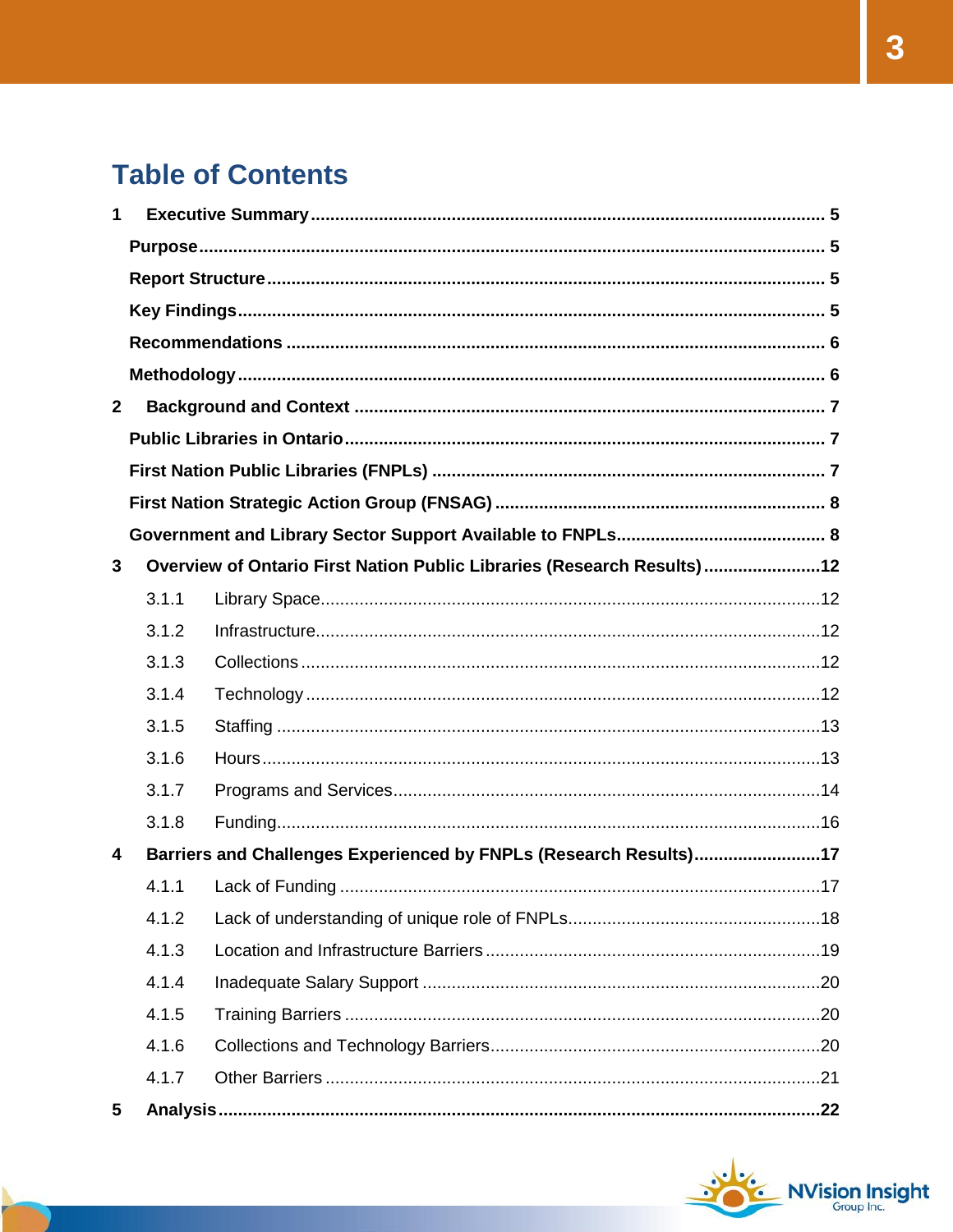# **Table of Contents**

| 1            |       |                                                                        |  |
|--------------|-------|------------------------------------------------------------------------|--|
|              |       |                                                                        |  |
|              |       |                                                                        |  |
|              |       |                                                                        |  |
|              |       |                                                                        |  |
|              |       |                                                                        |  |
| $\mathbf{2}$ |       |                                                                        |  |
|              |       |                                                                        |  |
|              |       |                                                                        |  |
|              |       |                                                                        |  |
|              |       |                                                                        |  |
| 3            |       | Overview of Ontario First Nation Public Libraries (Research Results)12 |  |
|              | 3.1.1 |                                                                        |  |
|              | 3.1.2 |                                                                        |  |
|              | 3.1.3 |                                                                        |  |
|              | 3.1.4 |                                                                        |  |
|              | 3.1.5 |                                                                        |  |
|              | 3.1.6 |                                                                        |  |
|              | 3.1.7 |                                                                        |  |
|              | 3.1.8 |                                                                        |  |
| 4            |       | Barriers and Challenges Experienced by FNPLs (Research Results)17      |  |
|              | 4.1.1 |                                                                        |  |
|              | 4.1.2 |                                                                        |  |
|              | 4.1.3 |                                                                        |  |
|              | 4.1.4 |                                                                        |  |
|              | 4.1.5 |                                                                        |  |
|              | 4.1.6 |                                                                        |  |
|              | 4.1.7 |                                                                        |  |
| 5            |       |                                                                        |  |

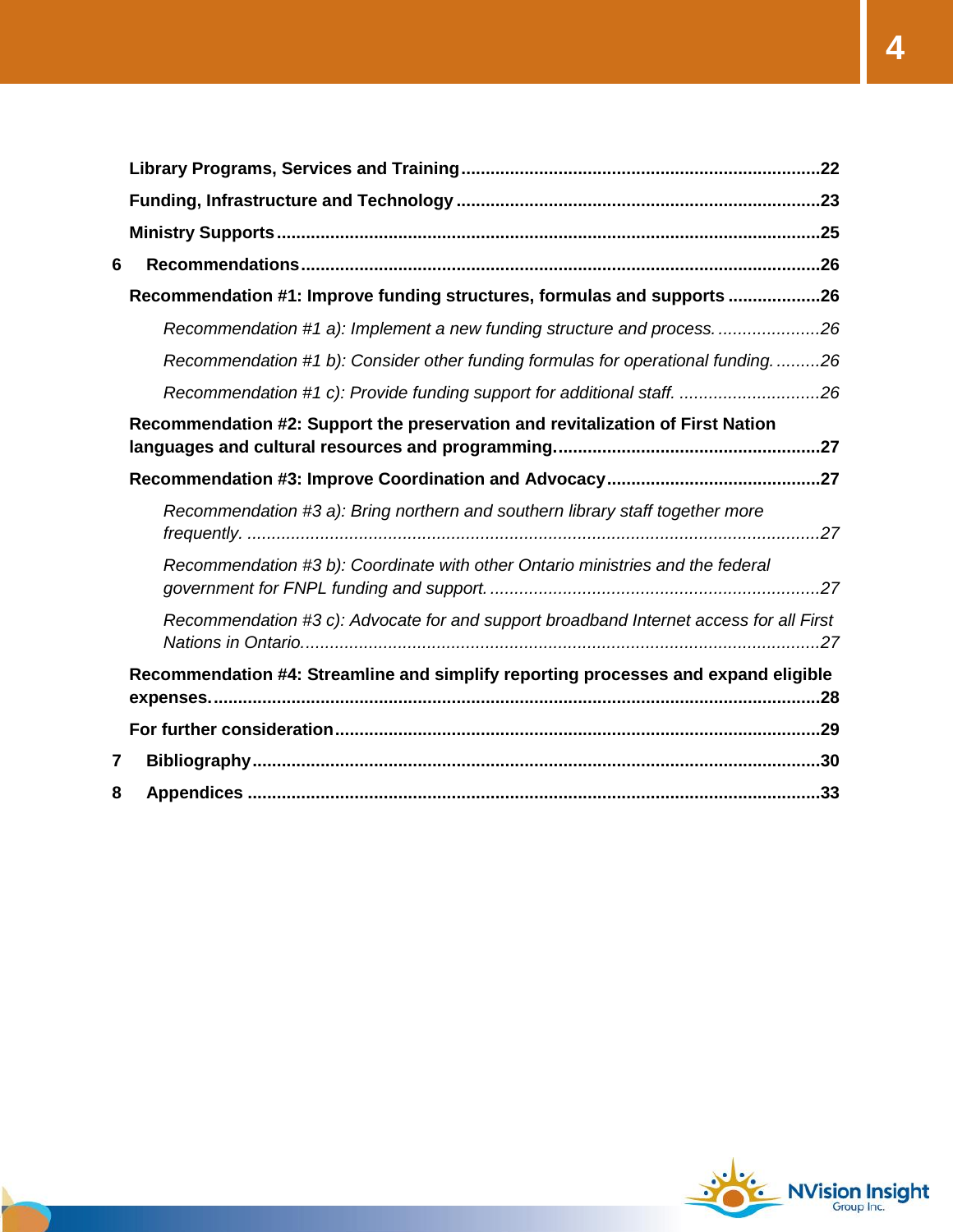| 6 |                                                                                        |
|---|----------------------------------------------------------------------------------------|
|   | Recommendation #1: Improve funding structures, formulas and supports 26                |
|   | Recommendation #1 a): Implement a new funding structure and process26                  |
|   | Recommendation #1 b): Consider other funding formulas for operational funding26        |
|   | Recommendation #1 c): Provide funding support for additional staff. 26                 |
|   | Recommendation #2: Support the preservation and revitalization of First Nation         |
|   |                                                                                        |
|   | Recommendation #3 a): Bring northern and southern library staff together more          |
|   | Recommendation #3 b): Coordinate with other Ontario ministries and the federal         |
|   | Recommendation #3 c): Advocate for and support broadband Internet access for all First |
|   | Recommendation #4: Streamline and simplify reporting processes and expand eligible     |
|   |                                                                                        |
| 7 |                                                                                        |
| 8 |                                                                                        |

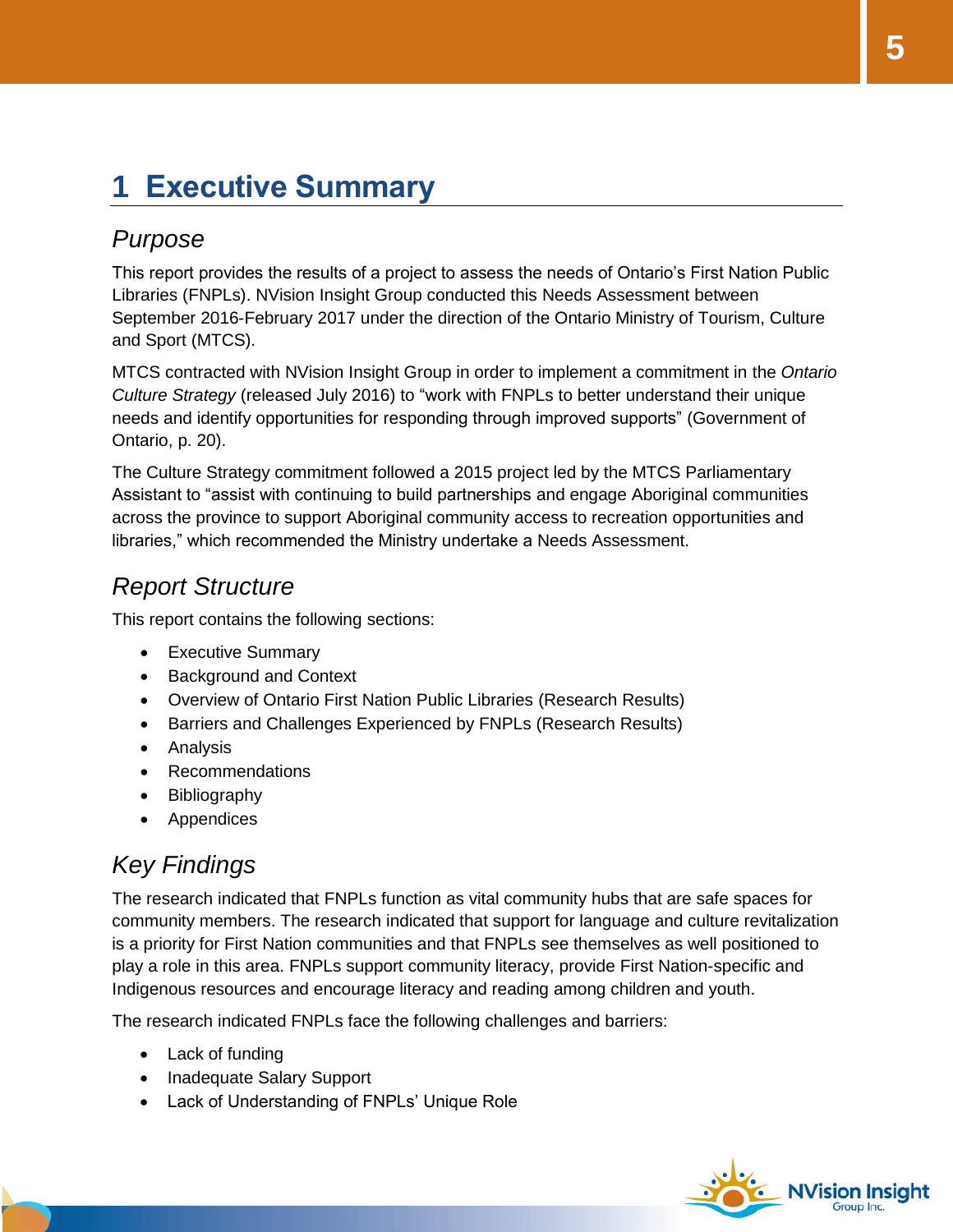# <span id="page-4-0"></span>**1 Executive Summary**

#### <span id="page-4-1"></span>*Purpose*

This report provides the results of a project to assess the needs of Ontario's First Nation Public Libraries (FNPLs). NVision Insight Group conducted this Needs Assessment between September 2016-February 2017 under the direction of the Ontario Ministry of Tourism, Culture and Sport (MTCS).

MTCS contracted with NVision Insight Group in order to implement a commitment in the *Ontario Culture Strategy* (released July 2016) to "work with FNPLs to better understand their unique needs and identify opportunities for responding through improved supports" (Government of Ontario, p. 20).

The Culture Strategy commitment followed a 2015 project led by the MTCS Parliamentary Assistant to "assist with continuing to build partnerships and engage Aboriginal communities across the province to support Aboriginal community access to recreation opportunities and libraries," which recommended the Ministry undertake a Needs Assessment.

#### <span id="page-4-2"></span>*Report Structure*

This report contains the following sections:

- Executive Summary
- Background and Context
- Overview of Ontario First Nation Public Libraries (Research Results)
- **•** Barriers and Challenges Experienced by FNPLs (Research Results)
- Analysis
- Recommendations
- Bibliography
- Appendices

### <span id="page-4-3"></span>*Key Findings*

The research indicated that FNPLs function as vital community hubs that are safe spaces for community members. The research indicated that support for language and culture revitalization is a priority for First Nation communities and that FNPLs see themselves as well positioned to play a role in this area. FNPLs support community literacy, provide First Nation-specific and Indigenous resources and encourage literacy and reading among children and youth.

The research indicated FNPLs face the following challenges and barriers:

- Lack of funding
- Inadequate Salary Support
- Lack of Understanding of FNPLs' Unique Role

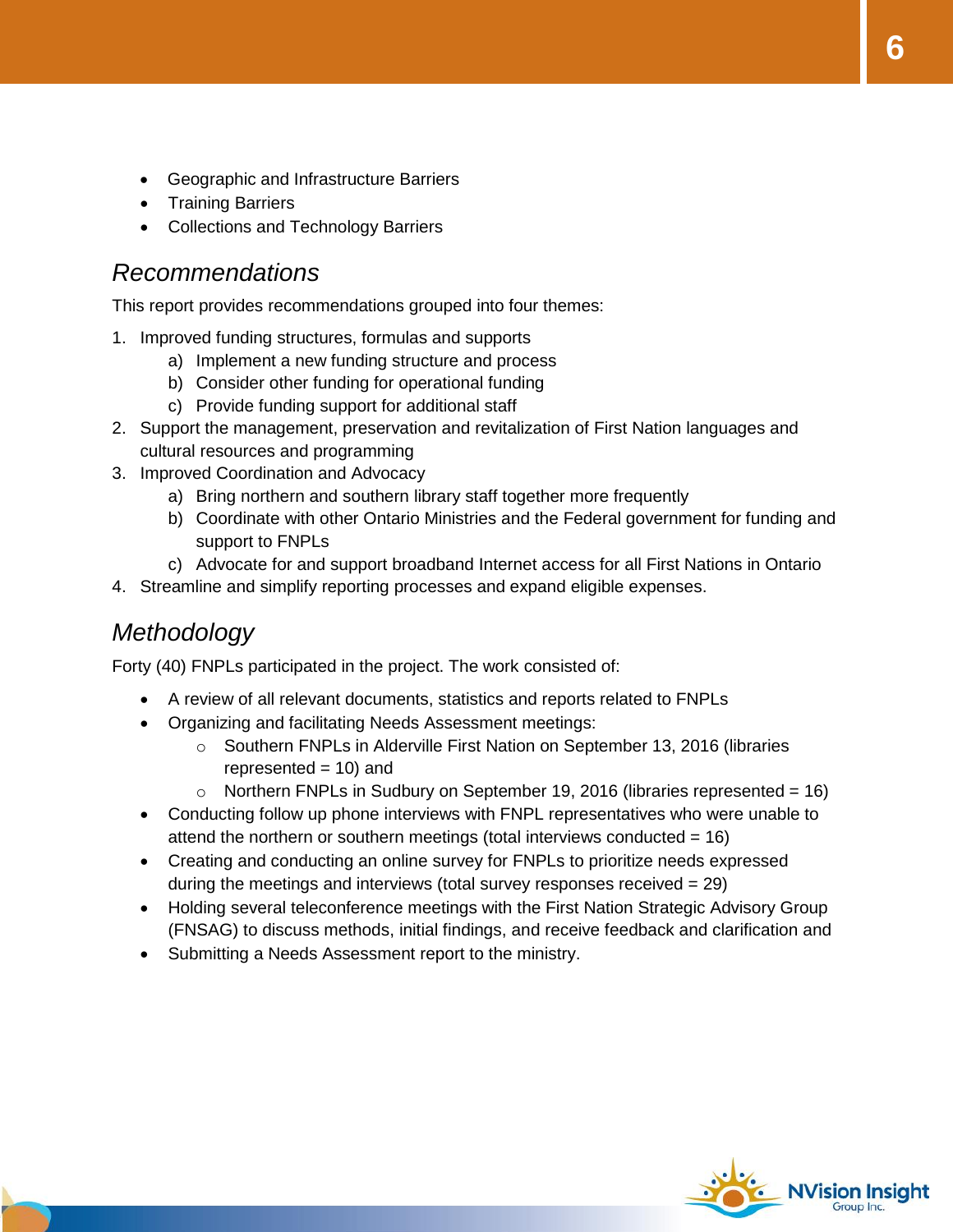- Geographic and Infrastructure Barriers
- Training Barriers
- Collections and Technology Barriers

#### <span id="page-5-0"></span>*Recommendations*

This report provides recommendations grouped into four themes:

- 1. Improved funding structures, formulas and supports
	- a) Implement a new funding structure and process
	- b) Consider other funding for operational funding
	- c) Provide funding support for additional staff
- 2. Support the management, preservation and revitalization of First Nation languages and cultural resources and programming
- 3. Improved Coordination and Advocacy
	- a) Bring northern and southern library staff together more frequently
	- b) Coordinate with other Ontario Ministries and the Federal government for funding and support to FNPLs
	- c) Advocate for and support broadband Internet access for all First Nations in Ontario
- 4. Streamline and simplify reporting processes and expand eligible expenses.

#### <span id="page-5-1"></span>*Methodology*

Forty (40) FNPLs participated in the project. The work consisted of:

- A review of all relevant documents, statistics and reports related to FNPLs
- Organizing and facilitating Needs Assessment meetings:
	- o Southern FNPLs in Alderville First Nation on September 13, 2016 (libraries represented  $= 10$ ) and
	- $\circ$  Northern FNPLs in Sudbury on September 19, 2016 (libraries represented = 16)
- Conducting follow up phone interviews with FNPL representatives who were unable to attend the northern or southern meetings (total interviews conducted  $= 16$ )
- Creating and conducting an online survey for FNPLs to prioritize needs expressed during the meetings and interviews (total survey responses received = 29)
- Holding several teleconference meetings with the First Nation Strategic Advisory Group (FNSAG) to discuss methods, initial findings, and receive feedback and clarification and
- Submitting a Needs Assessment report to the ministry.

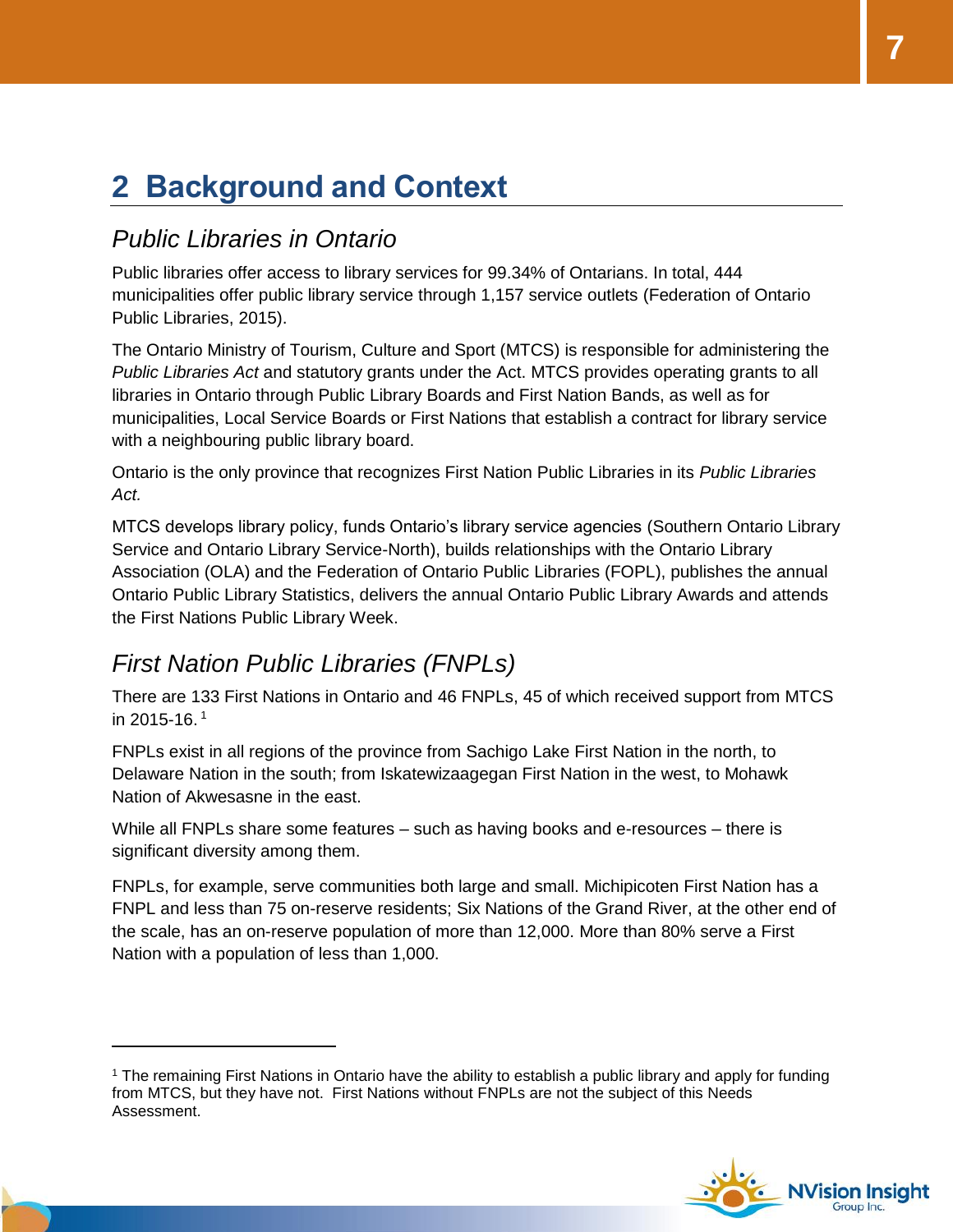# <span id="page-6-0"></span>**2 Background and Context**

### <span id="page-6-1"></span>*Public Libraries in Ontario*

Public libraries offer access to library services for 99.34% of Ontarians. In total, 444 municipalities offer public library service through 1,157 service outlets (Federation of Ontario Public Libraries, 2015).

The Ontario Ministry of Tourism, Culture and Sport (MTCS) is responsible for administering the *Public Libraries Act* and statutory grants under the Act. MTCS provides operating grants to all libraries in Ontario through Public Library Boards and First Nation Bands, as well as for municipalities, Local Service Boards or First Nations that establish a contract for library service with a neighbouring public library board.

Ontario is the only province that recognizes First Nation Public Libraries in its *Public Libraries Act.*

MTCS develops library policy, funds Ontario's library service agencies (Southern Ontario Library Service and Ontario Library Service-North), builds relationships with the Ontario Library Association (OLA) and the Federation of Ontario Public Libraries (FOPL), publishes the annual Ontario Public Library Statistics, delivers the annual Ontario Public Library Awards and attends the First Nations Public Library Week.

#### <span id="page-6-2"></span>*First Nation Public Libraries (FNPLs)*

 $\overline{a}$ 

There are 133 First Nations in Ontario and 46 FNPLs, 45 of which received support from MTCS in 2015-16. 1

FNPLs exist in all regions of the province from Sachigo Lake First Nation in the north, to Delaware Nation in the south; from Iskatewizaagegan First Nation in the west, to Mohawk Nation of Akwesasne in the east.

While all FNPLs share some features – such as having books and e-resources – there is significant diversity among them.

FNPLs, for example, serve communities both large and small. Michipicoten First Nation has a FNPL and less than 75 on-reserve residents; Six Nations of the Grand River, at the other end of the scale, has an on-reserve population of more than 12,000. More than 80% serve a First Nation with a population of less than 1,000.

<sup>1</sup> The remaining First Nations in Ontario have the ability to establish a public library and apply for funding from MTCS, but they have not. First Nations without FNPLs are not the subject of this Needs Assessment.

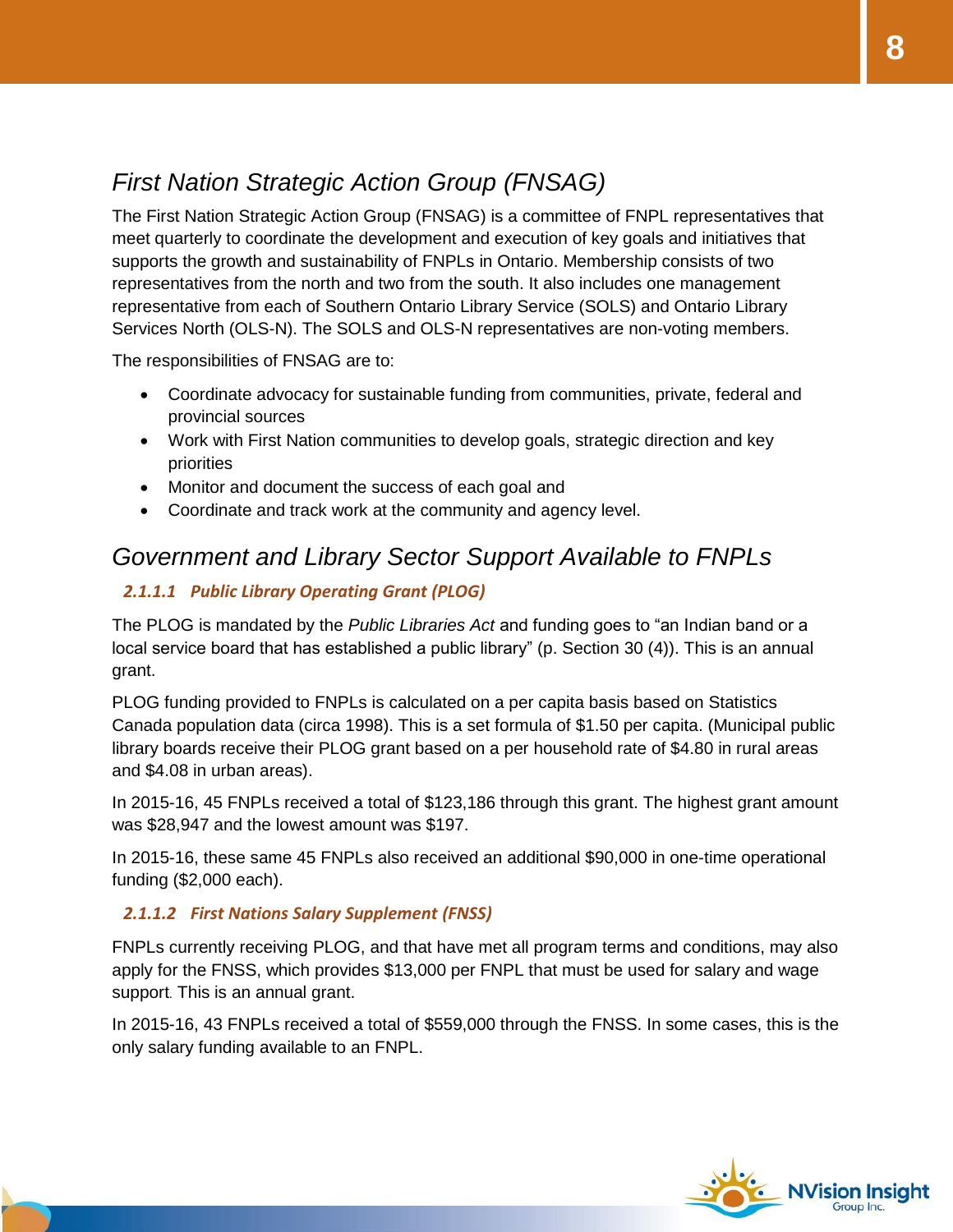### <span id="page-7-0"></span>*First Nation Strategic Action Group (FNSAG)*

The First Nation Strategic Action Group (FNSAG) is a committee of FNPL representatives that meet quarterly to coordinate the development and execution of key goals and initiatives that supports the growth and sustainability of FNPLs in Ontario. Membership consists of two representatives from the north and two from the south. It also includes one management representative from each of Southern Ontario Library Service (SOLS) and Ontario Library Services North (OLS-N). The SOLS and OLS-N representatives are non-voting members.

The responsibilities of FNSAG are to:

- Coordinate advocacy for sustainable funding from communities, private, federal and provincial sources
- Work with First Nation communities to develop goals, strategic direction and key priorities
- Monitor and document the success of each goal and
- Coordinate and track work at the community and agency level.

#### <span id="page-7-1"></span>*Government and Library Sector Support Available to FNPLs*

#### *2.1.1.1 Public Library Operating Grant (PLOG)*

The PLOG is mandated by the *Public Libraries Act* and funding goes to "an Indian band or a local service board that has established a public library" (p. Section 30 (4)). This is an annual grant.

PLOG funding provided to FNPLs is calculated on a per capita basis based on Statistics Canada population data (circa 1998). This is a set formula of \$1.50 per capita. (Municipal public library boards receive their PLOG grant based on a per household rate of \$4.80 in rural areas and \$4.08 in urban areas).

In 2015-16, 45 FNPLs received a total of \$123,186 through this grant. The highest grant amount was \$28,947 and the lowest amount was \$197.

In 2015-16, these same 45 FNPLs also received an additional \$90,000 in one-time operational funding (\$2,000 each).

#### *2.1.1.2 First Nations Salary Supplement (FNSS)*

FNPLs currently receiving PLOG, and that have met all program terms and conditions, may also apply for the FNSS, which provides \$13,000 per FNPL that must be used for salary and wage support. This is an annual grant.

In 2015-16, 43 FNPLs received a total of \$559,000 through the FNSS. In some cases, this is the only salary funding available to an FNPL.



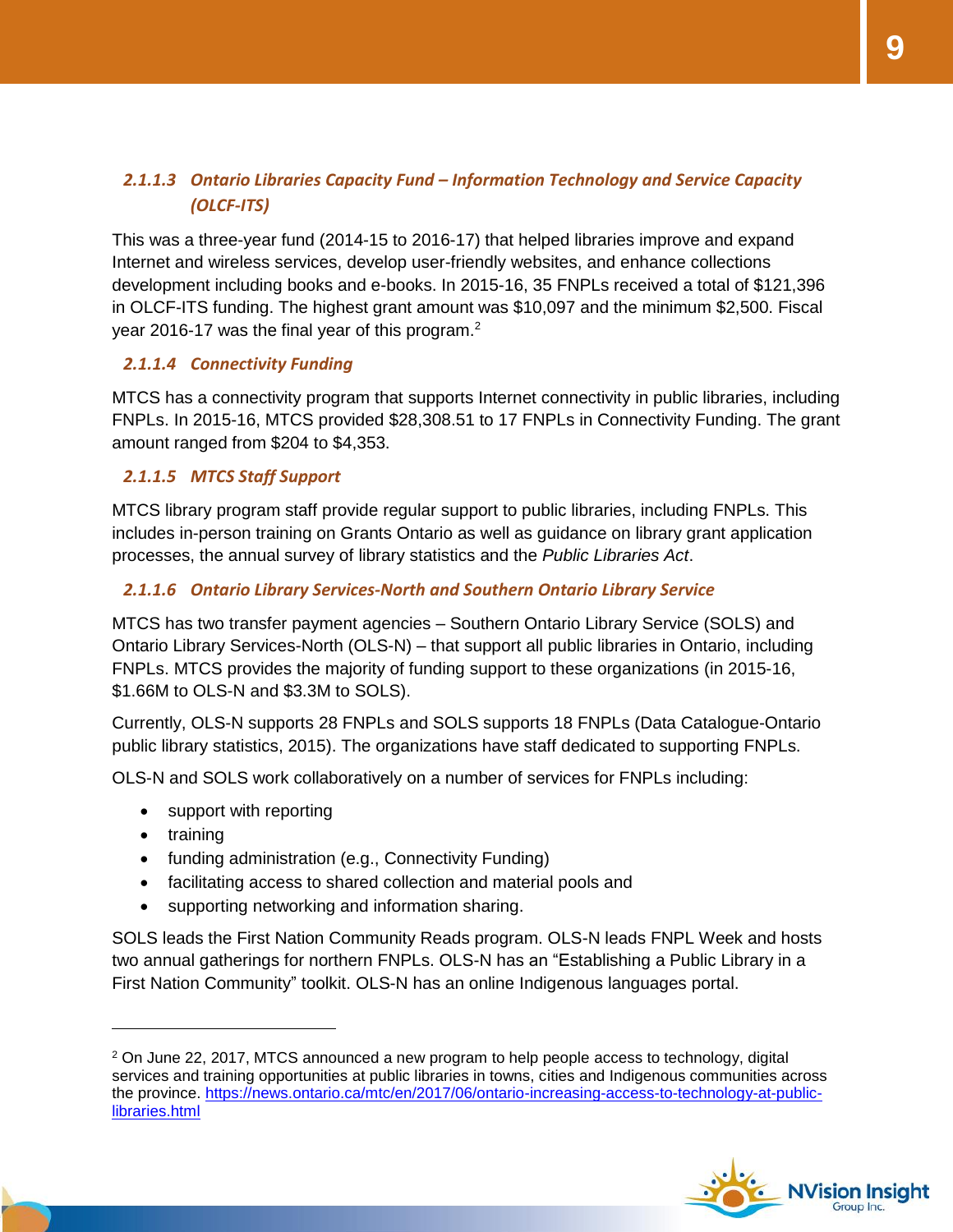#### *2.1.1.3 Ontario Libraries Capacity Fund – Information Technology and Service Capacity (OLCF-ITS)*

This was a three-year fund (2014-15 to 2016-17) that helped libraries improve and expand Internet and wireless services, develop user-friendly websites, and enhance collections development including books and e-books. In 2015-16, 35 FNPLs received a total of \$121,396 in OLCF-ITS funding. The highest grant amount was \$10,097 and the minimum \$2,500. Fiscal year 2016-17 was the final year of this program.<sup>2</sup>

#### *2.1.1.4 Connectivity Funding*

MTCS has a connectivity program that supports Internet connectivity in public libraries, including FNPLs. In 2015-16, MTCS provided \$28,308.51 to 17 FNPLs in Connectivity Funding. The grant amount ranged from \$204 to \$4,353.

#### *2.1.1.5 MTCS Staff Support*

MTCS library program staff provide regular support to public libraries, including FNPLs. This includes in-person training on Grants Ontario as well as guidance on library grant application processes, the annual survey of library statistics and the *Public Libraries Act*.

#### *2.1.1.6 Ontario Library Services-North and Southern Ontario Library Service*

MTCS has two transfer payment agencies – Southern Ontario Library Service (SOLS) and Ontario Library Services-North (OLS-N) – that support all public libraries in Ontario, including FNPLs. MTCS provides the majority of funding support to these organizations (in 2015-16, \$1.66M to OLS-N and \$3.3M to SOLS).

Currently, OLS-N supports 28 FNPLs and SOLS supports 18 FNPLs (Data Catalogue-Ontario public library statistics, 2015). The organizations have staff dedicated to supporting FNPLs.

OLS-N and SOLS work collaboratively on a number of services for FNPLs including:

- support with reporting
- training

 $\overline{a}$ 

- funding administration (e.g., Connectivity Funding)
- facilitating access to shared collection and material pools and
- supporting networking and information sharing.

SOLS leads the First Nation Community Reads program. OLS-N leads FNPL Week and hosts two annual gatherings for northern FNPLs. OLS-N has an "Establishing a Public Library in a First Nation Community" toolkit. OLS-N has an online Indigenous languages portal.

 $2$  On June 22, 2017, MTCS announced a new program to help people access to technology, digital services and training opportunities at public libraries in towns, cities and Indigenous communities across the province. [https://news.ontario.ca/mtc/en/2017/06/ontario-increasing-access-to-technology-at-public](https://news.ontario.ca/mtc/en/2017/06/ontario-increasing-access-to-technology-at-public-libraries.html)[libraries.html](https://news.ontario.ca/mtc/en/2017/06/ontario-increasing-access-to-technology-at-public-libraries.html)

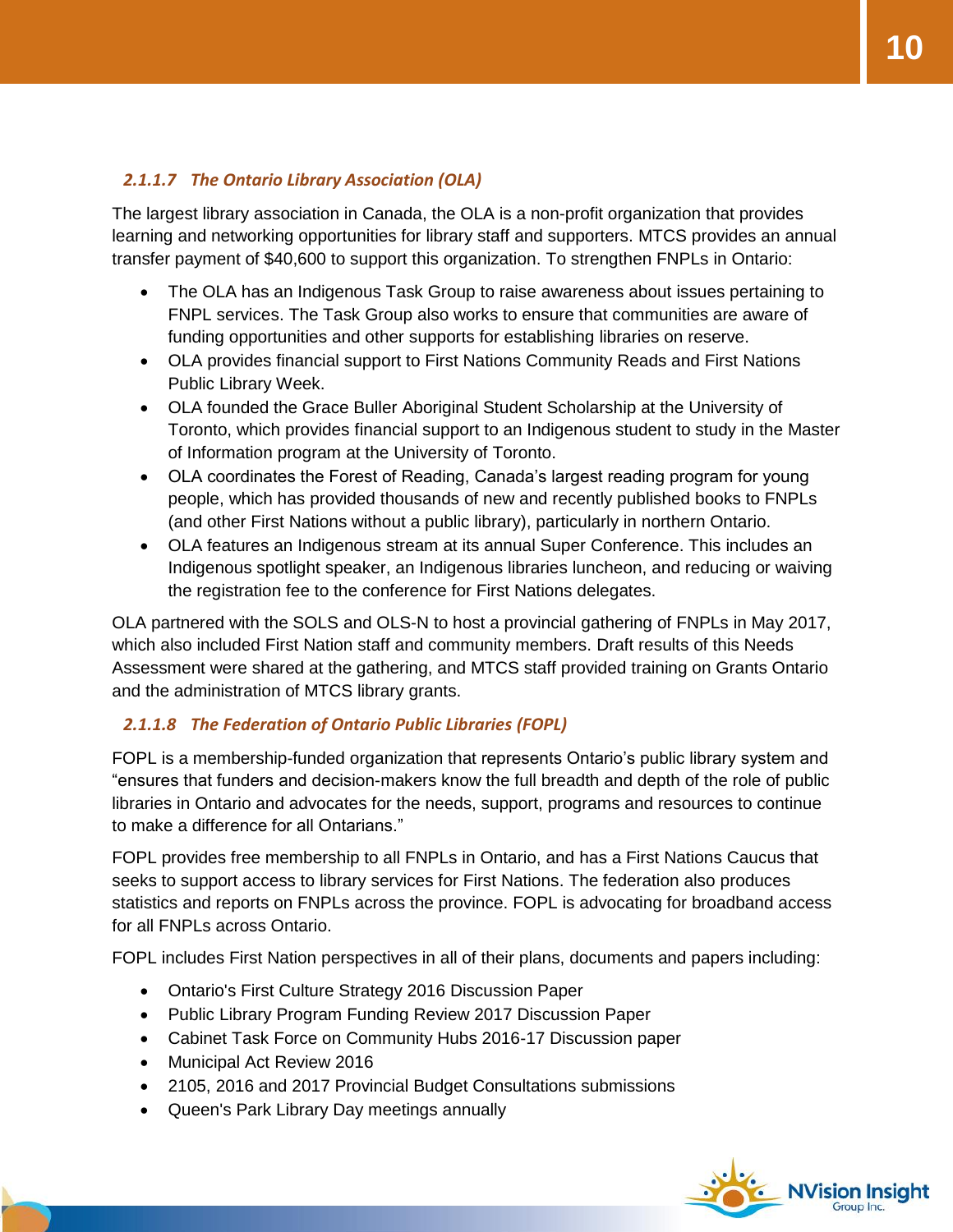#### *2.1.1.7 The Ontario Library Association (OLA)*

The largest library association in Canada, the OLA is a non-profit organization that provides learning and networking opportunities for library staff and supporters. MTCS provides an annual transfer payment of \$40,600 to support this organization. To strengthen FNPLs in Ontario:

- The OLA has an Indigenous Task Group to raise awareness about issues pertaining to FNPL services. The Task Group also works to ensure that communities are aware of funding opportunities and other supports for establishing libraries on reserve.
- OLA provides financial support to First Nations Community Reads and First Nations Public Library Week.
- OLA founded the Grace Buller Aboriginal Student Scholarship at the University of Toronto, which provides financial support to an Indigenous student to study in the Master of Information program at the University of Toronto.
- OLA coordinates the Forest of Reading, Canada's largest reading program for young people, which has provided thousands of new and recently published books to FNPLs (and other First Nations without a public library), particularly in northern Ontario.
- OLA features an Indigenous stream at its annual Super Conference. This includes an Indigenous spotlight speaker, an Indigenous libraries luncheon, and reducing or waiving the registration fee to the conference for First Nations delegates.

OLA partnered with the SOLS and OLS-N to host a provincial gathering of FNPLs in May 2017, which also included First Nation staff and community members. Draft results of this Needs Assessment were shared at the gathering, and MTCS staff provided training on Grants Ontario and the administration of MTCS library grants.

#### *2.1.1.8 The Federation of Ontario Public Libraries (FOPL)*

FOPL is a membership-funded organization that represents Ontario's public library system and "ensures that funders and decision-makers know the full breadth and depth of the role of public libraries in Ontario and advocates for the needs, support, programs and resources to continue to make a difference for all Ontarians."

FOPL provides free membership to all FNPLs in Ontario, and has a First Nations Caucus that seeks to support access to library services for First Nations. The federation also produces statistics and reports on FNPLs across the province. FOPL is advocating for broadband access for all FNPLs across Ontario.

FOPL includes First Nation perspectives in all of their plans, documents and papers including:

- Ontario's First Culture Strategy 2016 Discussion Paper
- Public Library Program Funding Review 2017 Discussion Paper
- Cabinet Task Force on Community Hubs 2016-17 Discussion paper
- Municipal Act Review 2016
- 2105, 2016 and 2017 Provincial Budget Consultations submissions
- Queen's Park Library Day meetings annually

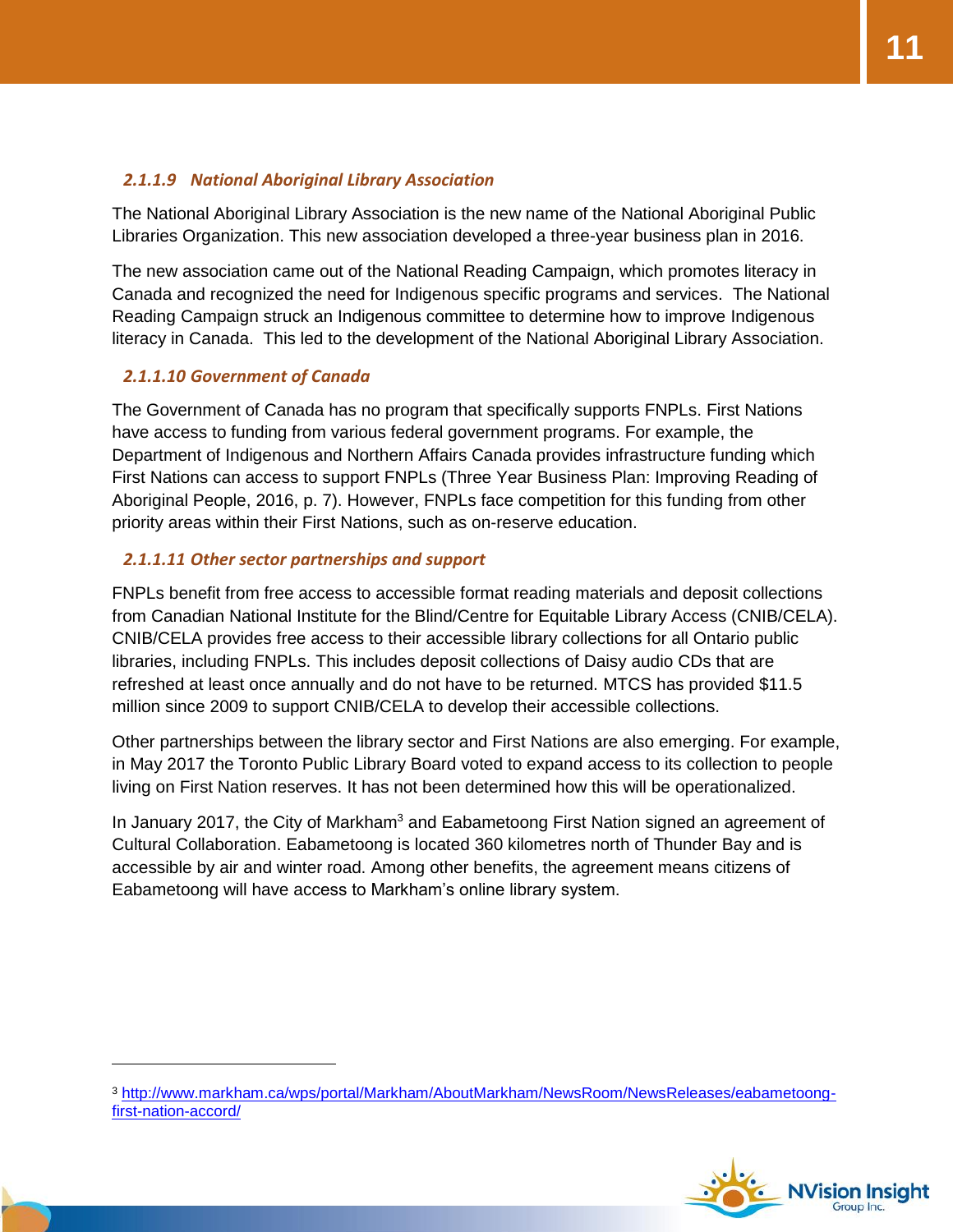#### *2.1.1.9 National Aboriginal Library Association*

The National Aboriginal Library Association is the new name of the National Aboriginal Public Libraries Organization. This new association developed a three-year business plan in 2016.

The new association came out of the National Reading Campaign, which promotes literacy in Canada and recognized the need for Indigenous specific programs and services. The National Reading Campaign struck an Indigenous committee to determine how to improve Indigenous literacy in Canada. This led to the development of the National Aboriginal Library Association.

#### *2.1.1.10 Government of Canada*

The Government of Canada has no program that specifically supports FNPLs. First Nations have access to funding from various federal government programs. For example, the Department of Indigenous and Northern Affairs Canada provides infrastructure funding which First Nations can access to support FNPLs (Three Year Business Plan: Improving Reading of Aboriginal People, 2016, p. 7). However, FNPLs face competition for this funding from other priority areas within their First Nations, such as on-reserve education.

#### *2.1.1.11 Other sector partnerships and support*

FNPLs benefit from free access to accessible format reading materials and deposit collections from Canadian National Institute for the Blind/Centre for Equitable Library Access (CNIB/CELA). CNIB/CELA provides free access to their accessible library collections for all Ontario public libraries, including FNPLs. This includes deposit collections of Daisy audio CDs that are refreshed at least once annually and do not have to be returned. MTCS has provided \$11.5 million since 2009 to support CNIB/CELA to develop their accessible collections.

Other partnerships between the library sector and First Nations are also emerging. For example, in May 2017 the Toronto Public Library Board voted to expand access to its collection to people living on First Nation reserves. It has not been determined how this will be operationalized.

In January 2017, the City of Markham<sup>3</sup> and Eabametoong First Nation signed an agreement of Cultural Collaboration. Eabametoong is located 360 kilometres north of Thunder Bay and is accessible by air and winter road. Among other benefits, the agreement means citizens of Eabametoong will have access to Markham's online library system.

<sup>3</sup> [http://www.markham.ca/wps/portal/Markham/AboutMarkham/NewsRoom/NewsReleases/eabametoong](http://www.markham.ca/wps/portal/Markham/AboutMarkham/NewsRoom/NewsReleases/eabametoong-first-nation-accord/)[first-nation-accord/](http://www.markham.ca/wps/portal/Markham/AboutMarkham/NewsRoom/NewsReleases/eabametoong-first-nation-accord/)

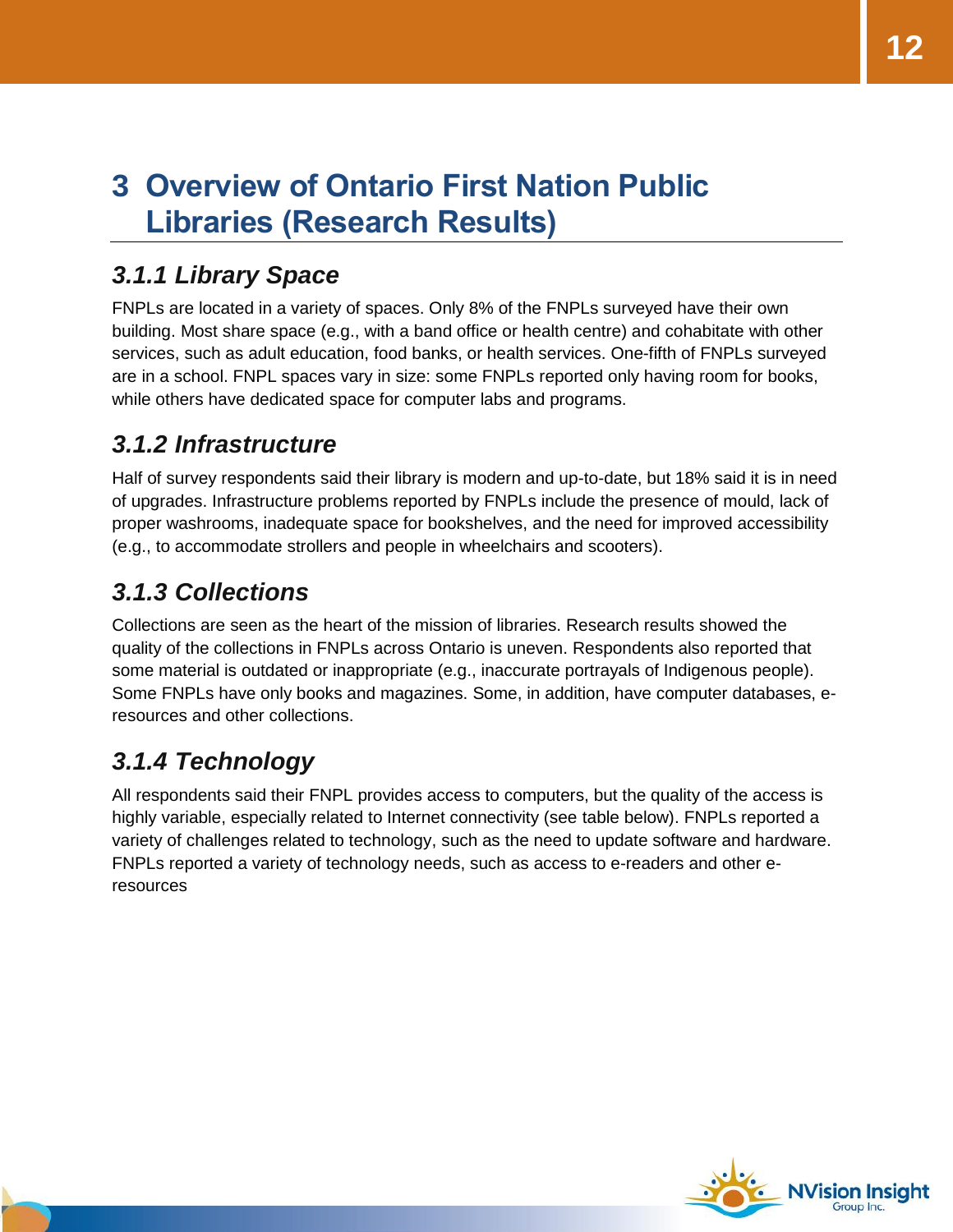# <span id="page-11-0"></span>**3 Overview of Ontario First Nation Public Libraries (Research Results)**

### <span id="page-11-1"></span>*3.1.1 Library Space*

FNPLs are located in a variety of spaces. Only 8% of the FNPLs surveyed have their own building. Most share space (e.g., with a band office or health centre) and cohabitate with other services, such as adult education, food banks, or health services. One-fifth of FNPLs surveyed are in a school. FNPL spaces vary in size: some FNPLs reported only having room for books, while others have dedicated space for computer labs and programs.

### <span id="page-11-2"></span>*3.1.2 Infrastructure*

Half of survey respondents said their library is modern and up-to-date, but 18% said it is in need of upgrades. Infrastructure problems reported by FNPLs include the presence of mould, lack of proper washrooms, inadequate space for bookshelves, and the need for improved accessibility (e.g., to accommodate strollers and people in wheelchairs and scooters).

### <span id="page-11-3"></span>*3.1.3 Collections*

Collections are seen as the heart of the mission of libraries. Research results showed the quality of the collections in FNPLs across Ontario is uneven. Respondents also reported that some material is outdated or inappropriate (e.g., inaccurate portrayals of Indigenous people). Some FNPLs have only books and magazines. Some, in addition, have computer databases, eresources and other collections.

### <span id="page-11-4"></span>*3.1.4 Technology*

All respondents said their FNPL provides access to computers, but the quality of the access is highly variable, especially related to Internet connectivity (see table below). FNPLs reported a variety of challenges related to technology, such as the need to update software and hardware. FNPLs reported a variety of technology needs, such as access to e-readers and other eresources

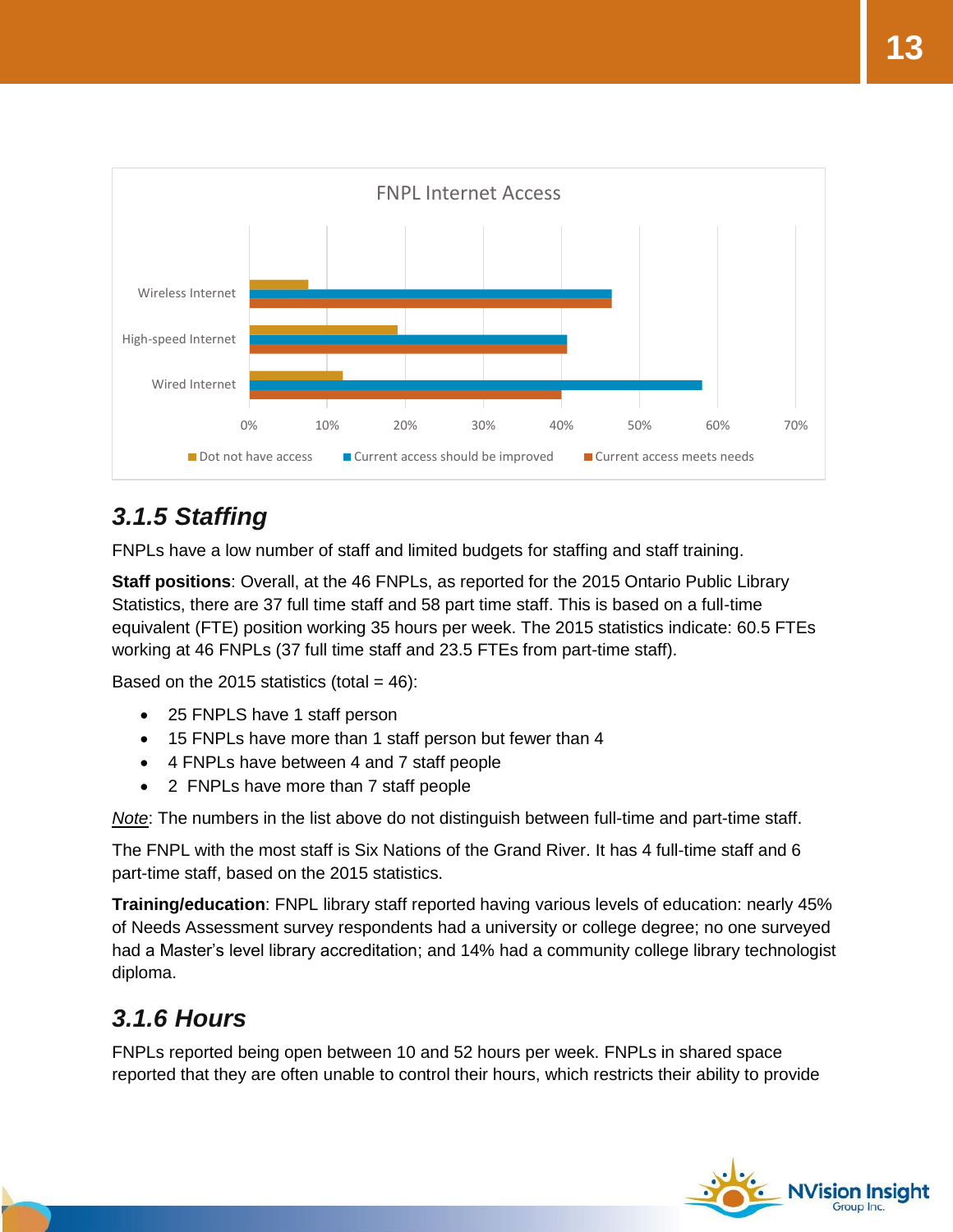

### <span id="page-12-0"></span>*3.1.5 Staffing*

FNPLs have a low number of staff and limited budgets for staffing and staff training.

**Staff positions**: Overall, at the 46 FNPLs, as reported for the 2015 Ontario Public Library Statistics, there are 37 full time staff and 58 part time staff. This is based on a full-time equivalent (FTE) position working 35 hours per week. The 2015 statistics indicate: 60.5 FTEs working at 46 FNPLs (37 full time staff and 23.5 FTEs from part-time staff).

Based on the 2015 statistics (total  $= 46$ ):

- 25 FNPLS have 1 staff person
- 15 FNPLs have more than 1 staff person but fewer than 4
- 4 FNPLs have between 4 and 7 staff people
- 2 FNPLs have more than 7 staff people

*Note*: The numbers in the list above do not distinguish between full-time and part-time staff.

The FNPL with the most staff is Six Nations of the Grand River. It has 4 full-time staff and 6 part-time staff, based on the 2015 statistics.

**Training/education**: FNPL library staff reported having various levels of education: nearly 45% of Needs Assessment survey respondents had a university or college degree; no one surveyed had a Master's level library accreditation; and 14% had a community college library technologist diploma.

### <span id="page-12-1"></span>*3.1.6 Hours*

FNPLs reported being open between 10 and 52 hours per week. FNPLs in shared space reported that they are often unable to control their hours, which restricts their ability to provide

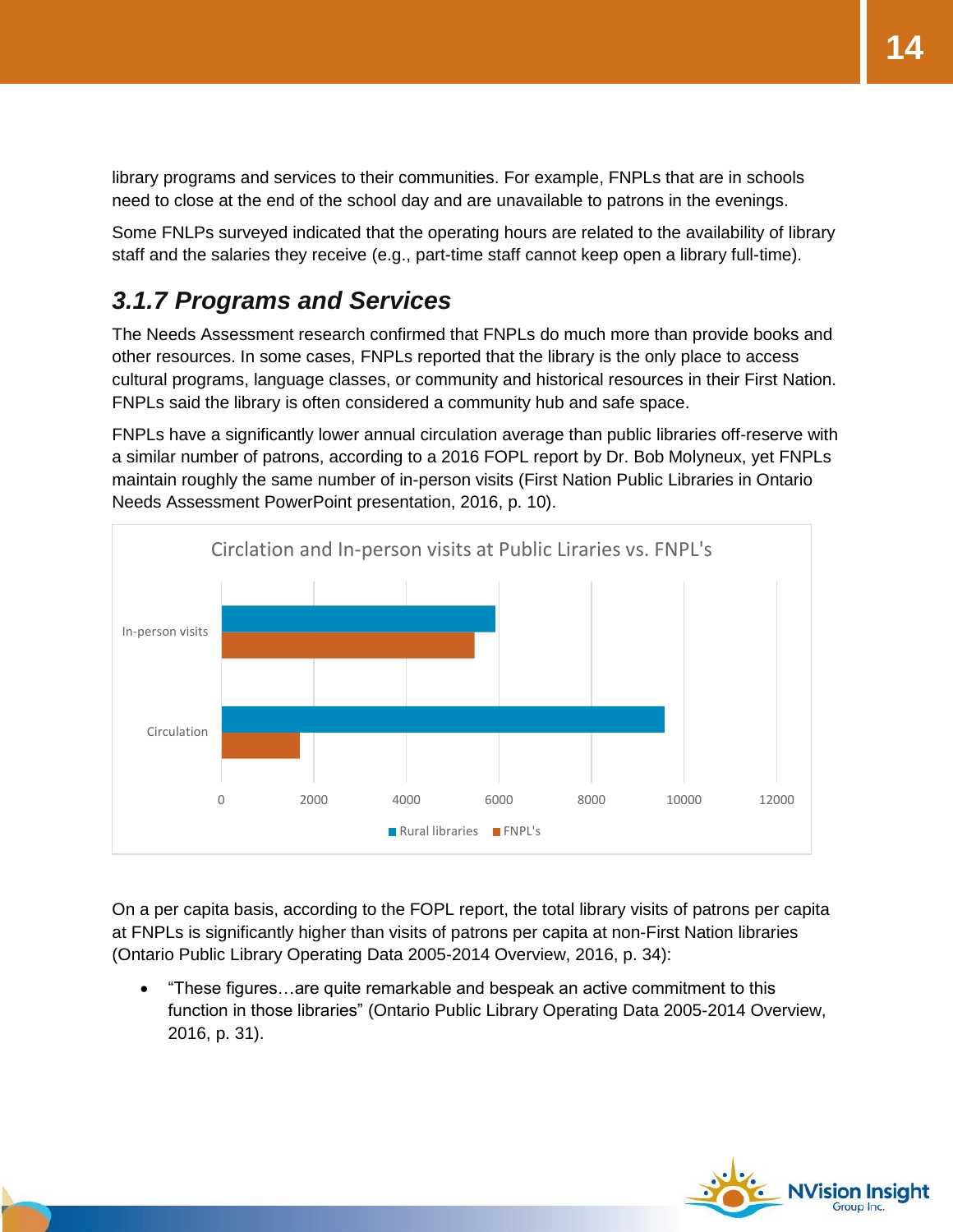library programs and services to their communities. For example, FNPLs that are in schools need to close at the end of the school day and are unavailable to patrons in the evenings.

Some FNLPs surveyed indicated that the operating hours are related to the availability of library staff and the salaries they receive (e.g., part-time staff cannot keep open a library full-time).

### <span id="page-13-0"></span>*3.1.7 Programs and Services*

The Needs Assessment research confirmed that FNPLs do much more than provide books and other resources. In some cases, FNPLs reported that the library is the only place to access cultural programs, language classes, or community and historical resources in their First Nation. FNPLs said the library is often considered a community hub and safe space.

FNPLs have a significantly lower annual circulation average than public libraries off-reserve with a similar number of patrons, according to a 2016 FOPL report by Dr. Bob Molyneux, yet FNPLs maintain roughly the same number of in-person visits (First Nation Public Libraries in Ontario Needs Assessment PowerPoint presentation, 2016, p. 10).



On a per capita basis, according to the FOPL report, the total library visits of patrons per capita at FNPLs is significantly higher than visits of patrons per capita at non-First Nation libraries (Ontario Public Library Operating Data 2005-2014 Overview, 2016, p. 34):

 "These figures…are quite remarkable and bespeak an active commitment to this function in those libraries" (Ontario Public Library Operating Data 2005-2014 Overview, 2016, p. 31).

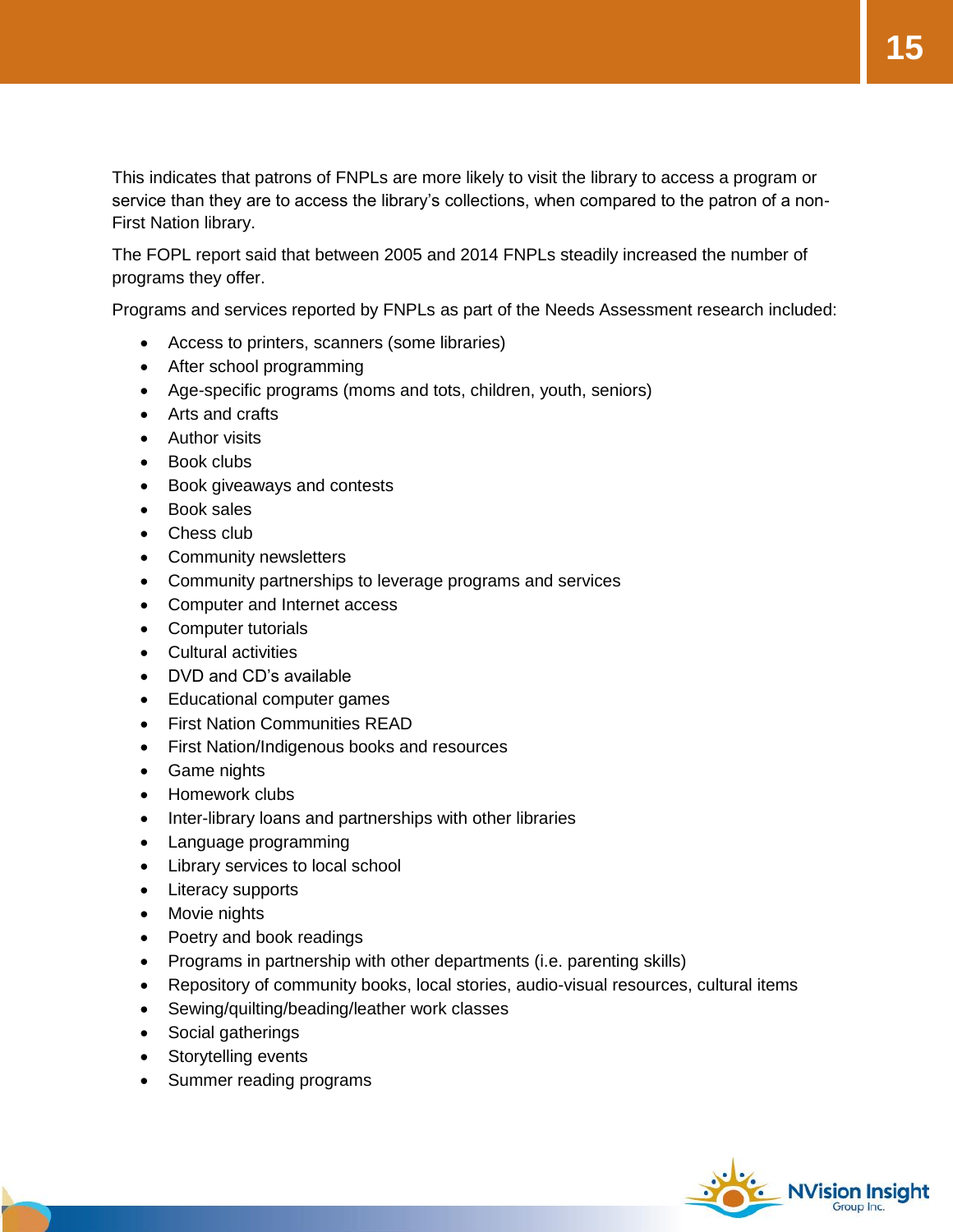This indicates that patrons of FNPLs are more likely to visit the library to access a program or service than they are to access the library's collections, when compared to the patron of a non-First Nation library.

The FOPL report said that between 2005 and 2014 FNPLs steadily increased the number of programs they offer.

Programs and services reported by FNPLs as part of the Needs Assessment research included:

- Access to printers, scanners (some libraries)
- After school programming
- Age-specific programs (moms and tots, children, youth, seniors)
- Arts and crafts
- Author visits
- Book clubs
- Book giveaways and contests
- Book sales
- Chess club
- Community newsletters
- Community partnerships to leverage programs and services
- Computer and Internet access
- Computer tutorials
- Cultural activities
- DVD and CD's available
- Educational computer games
- First Nation Communities READ
- First Nation/Indigenous books and resources
- Game nights
- Homework clubs
- Inter-library loans and partnerships with other libraries
- Language programming
- Library services to local school
- Literacy supports
- Movie nights
- Poetry and book readings
- Programs in partnership with other departments (i.e. parenting skills)
- Repository of community books, local stories, audio-visual resources, cultural items
- Sewing/quilting/beading/leather work classes
- Social gatherings
- Storytelling events
- Summer reading programs

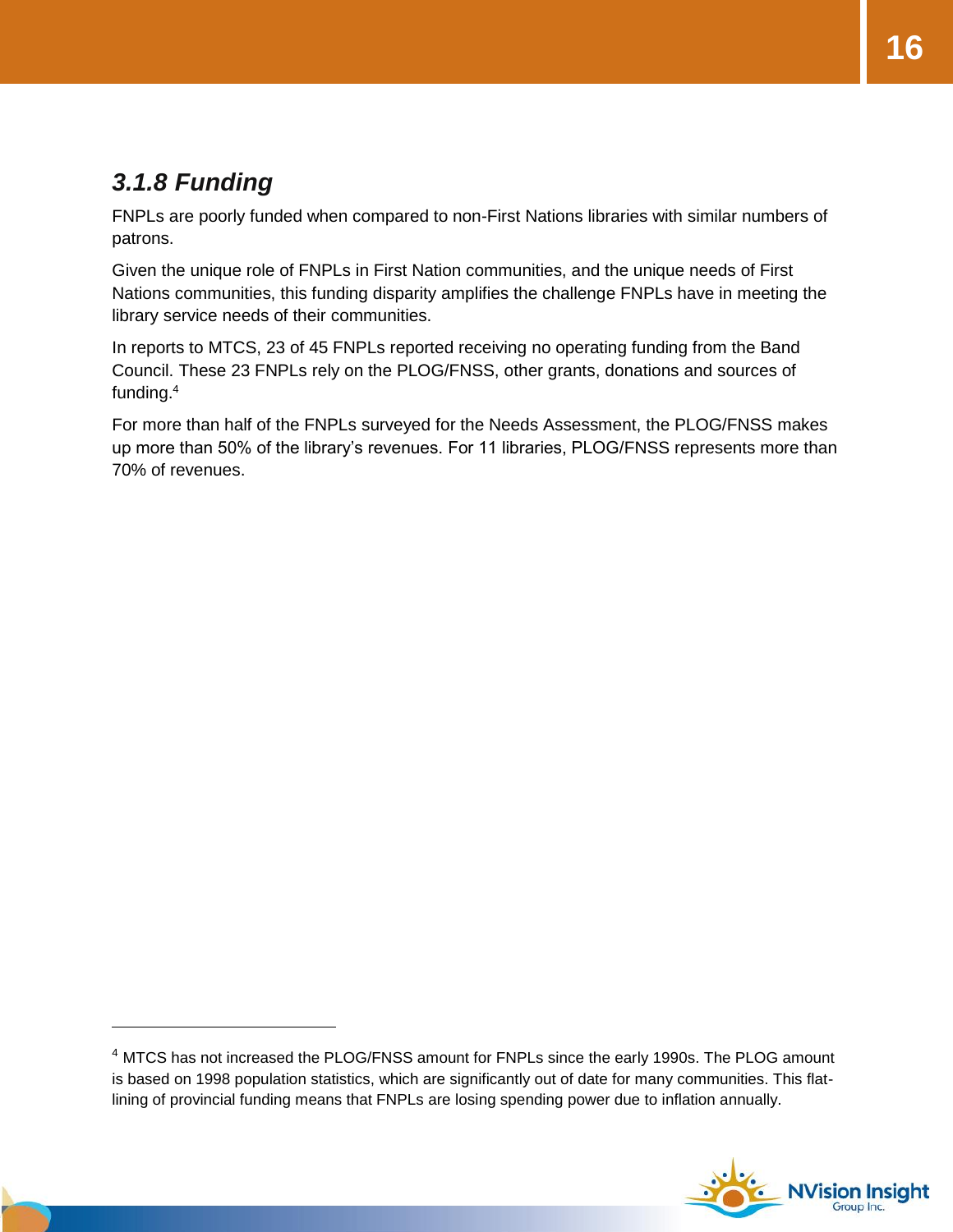### <span id="page-15-0"></span>*3.1.8 Funding*

FNPLs are poorly funded when compared to non-First Nations libraries with similar numbers of patrons.

Given the unique role of FNPLs in First Nation communities, and the unique needs of First Nations communities, this funding disparity amplifies the challenge FNPLs have in meeting the library service needs of their communities.

In reports to MTCS, 23 of 45 FNPLs reported receiving no operating funding from the Band Council. These 23 FNPLs rely on the PLOG/FNSS, other grants, donations and sources of funding.<sup>4</sup>

For more than half of the FNPLs surveyed for the Needs Assessment, the PLOG/FNSS makes up more than 50% of the library's revenues. For 11 libraries, PLOG/FNSS represents more than 70% of revenues.

<sup>4</sup> MTCS has not increased the PLOG/FNSS amount for FNPLs since the early 1990s. The PLOG amount is based on 1998 population statistics, which are significantly out of date for many communities. This flatlining of provincial funding means that FNPLs are losing spending power due to inflation annually.

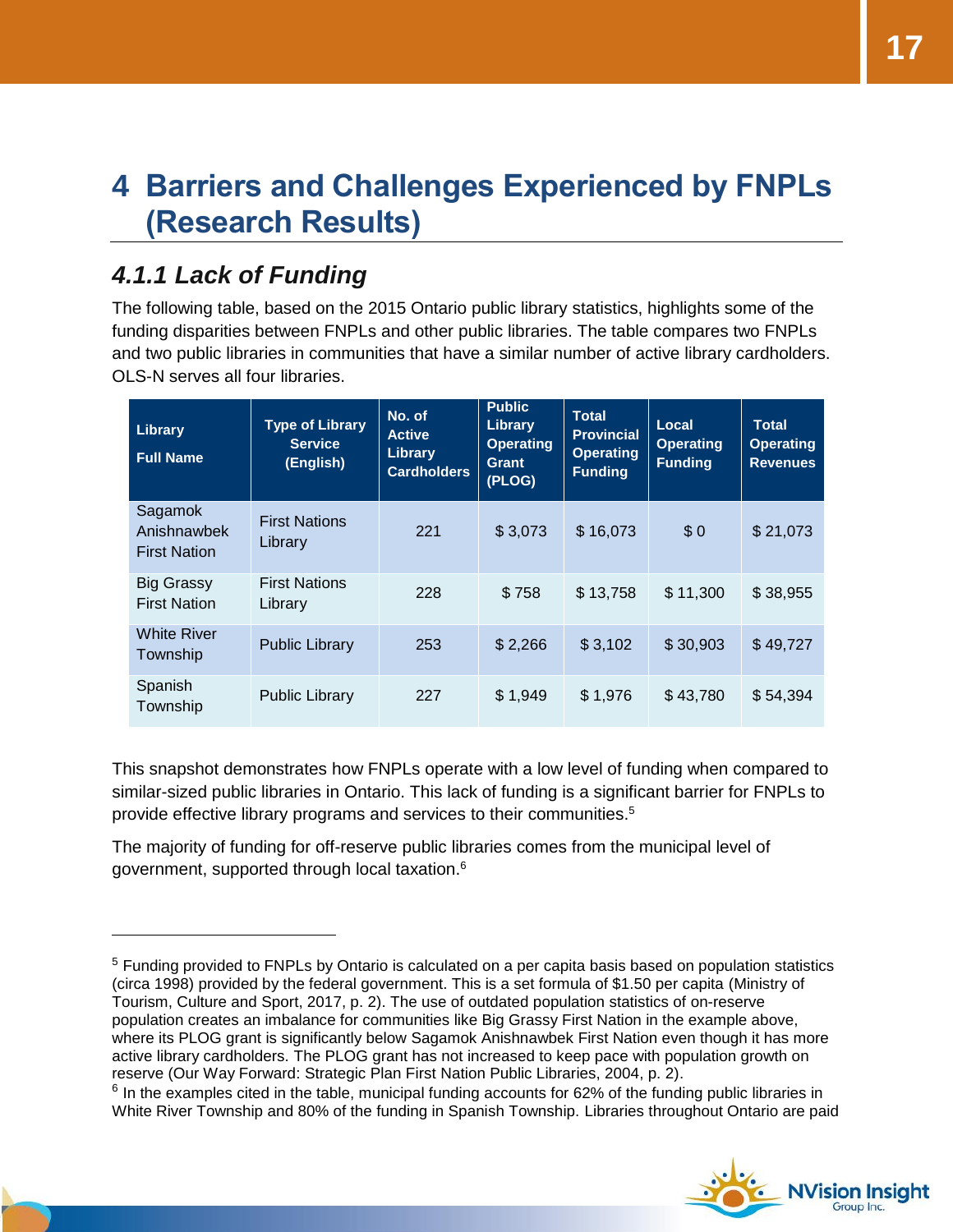# <span id="page-16-0"></span>**4 Barriers and Challenges Experienced by FNPLs (Research Results)**

### <span id="page-16-1"></span>*4.1.1 Lack of Funding*

The following table, based on the 2015 Ontario public library statistics, highlights some of the funding disparities between FNPLs and other public libraries. The table compares two FNPLs and two public libraries in communities that have a similar number of active library cardholders. OLS-N serves all four libraries.

| Library<br><b>Full Name</b>                   | <b>Type of Library</b><br><b>Service</b><br>(English) | No. of<br><b>Active</b><br>Library<br><b>Cardholders</b> | <b>Public</b><br>Library<br><b>Operating</b><br>Grant<br>(PLOG) | <b>Total</b><br><b>Provincial</b><br><b>Operating</b><br><b>Funding</b> | Local<br><b>Operating</b><br><b>Funding</b> | <b>Total</b><br><b>Operating</b><br><b>Revenues</b> |
|-----------------------------------------------|-------------------------------------------------------|----------------------------------------------------------|-----------------------------------------------------------------|-------------------------------------------------------------------------|---------------------------------------------|-----------------------------------------------------|
| Sagamok<br>Anishnawbek<br><b>First Nation</b> | <b>First Nations</b><br>Library                       | 221                                                      | \$3,073                                                         | \$16,073                                                                | \$0                                         | \$21,073                                            |
| Big Grassy<br><b>First Nation</b>             | <b>First Nations</b><br>Library                       | 228                                                      | \$758                                                           | \$13,758                                                                | \$11,300                                    | \$38,955                                            |
| <b>White River</b><br>Township                | <b>Public Library</b>                                 | 253                                                      | \$2,266                                                         | \$3,102                                                                 | \$30,903                                    | \$49,727                                            |
| Spanish<br>Township                           | <b>Public Library</b>                                 | 227                                                      | \$1,949                                                         | \$1,976                                                                 | \$43,780                                    | \$54,394                                            |

This snapshot demonstrates how FNPLs operate with a low level of funding when compared to similar-sized public libraries in Ontario. This lack of funding is a significant barrier for FNPLs to provide effective library programs and services to their communities.<sup>5</sup>

The majority of funding for off-reserve public libraries comes from the municipal level of government, supported through local taxation.<sup>6</sup>

 $6$  In the examples cited in the table, municipal funding accounts for 62% of the funding public libraries in White River Township and 80% of the funding in Spanish Township. Libraries throughout Ontario are paid



<sup>&</sup>lt;sup>5</sup> Funding provided to FNPLs by Ontario is calculated on a per capita basis based on population statistics (circa 1998) provided by the federal government. This is a set formula of \$1.50 per capita (Ministry of Tourism, Culture and Sport, 2017, p. 2). The use of outdated population statistics of on-reserve population creates an imbalance for communities like Big Grassy First Nation in the example above, where its PLOG grant is significantly below Sagamok Anishnawbek First Nation even though it has more active library cardholders. The PLOG grant has not increased to keep pace with population growth on reserve (Our Way Forward: Strategic Plan First Nation Public Libraries, 2004, p. 2).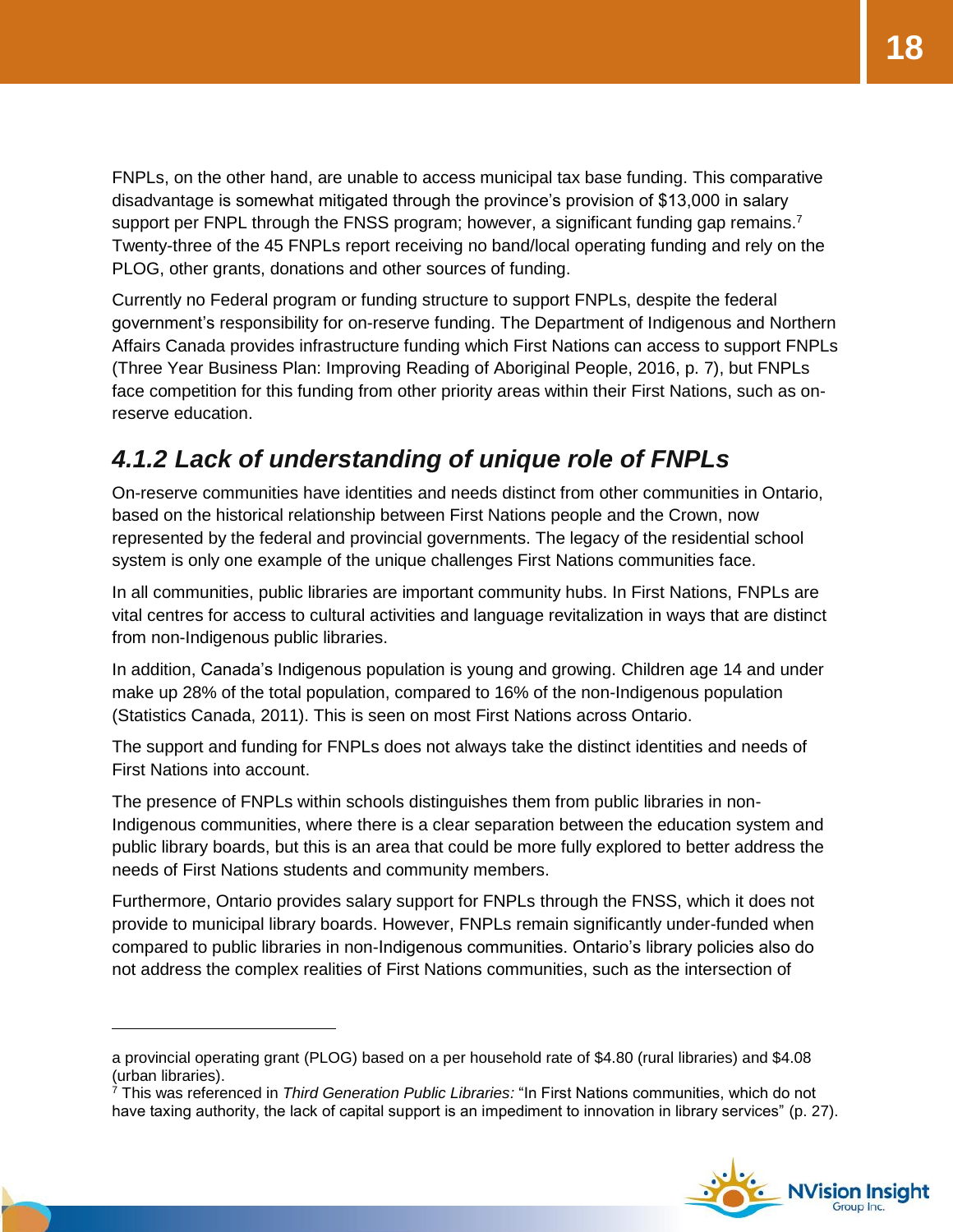FNPLs, on the other hand, are unable to access municipal tax base funding. This comparative disadvantage is somewhat mitigated through the province's provision of \$13,000 in salary support per FNPL through the FNSS program; however, a significant funding gap remains.<sup>7</sup> Twenty-three of the 45 FNPLs report receiving no band/local operating funding and rely on the PLOG, other grants, donations and other sources of funding.

Currently no Federal program or funding structure to support FNPLs, despite the federal government's responsibility for on-reserve funding. The Department of Indigenous and Northern Affairs Canada provides infrastructure funding which First Nations can access to support FNPLs (Three Year Business Plan: Improving Reading of Aboriginal People, 2016, p. 7), but FNPLs face competition for this funding from other priority areas within their First Nations, such as onreserve education.

### <span id="page-17-0"></span>*4.1.2 Lack of understanding of unique role of FNPLs*

On-reserve communities have identities and needs distinct from other communities in Ontario, based on the historical relationship between First Nations people and the Crown, now represented by the federal and provincial governments. The legacy of the residential school system is only one example of the unique challenges First Nations communities face.

In all communities, public libraries are important community hubs. In First Nations, FNPLs are vital centres for access to cultural activities and language revitalization in ways that are distinct from non-Indigenous public libraries.

In addition, Canada's Indigenous population is young and growing. Children age 14 and under make up 28% of the total population, compared to 16% of the non-Indigenous population (Statistics Canada, 2011). This is seen on most First Nations across Ontario.

The support and funding for FNPLs does not always take the distinct identities and needs of First Nations into account.

The presence of FNPLs within schools distinguishes them from public libraries in non-Indigenous communities, where there is a clear separation between the education system and public library boards, but this is an area that could be more fully explored to better address the needs of First Nations students and community members.

Furthermore, Ontario provides salary support for FNPLs through the FNSS, which it does not provide to municipal library boards. However, FNPLs remain significantly under-funded when compared to public libraries in non-Indigenous communities. Ontario's library policies also do not address the complex realities of First Nations communities, such as the intersection of

 $\overline{a}$ 

<sup>7</sup> This was referenced in *Third Generation Public Libraries:* "In First Nations communities, which do not have taxing authority, the lack of capital support is an impediment to innovation in library services" (p. 27).



a provincial operating grant (PLOG) based on a per household rate of \$4.80 (rural libraries) and \$4.08 (urban libraries).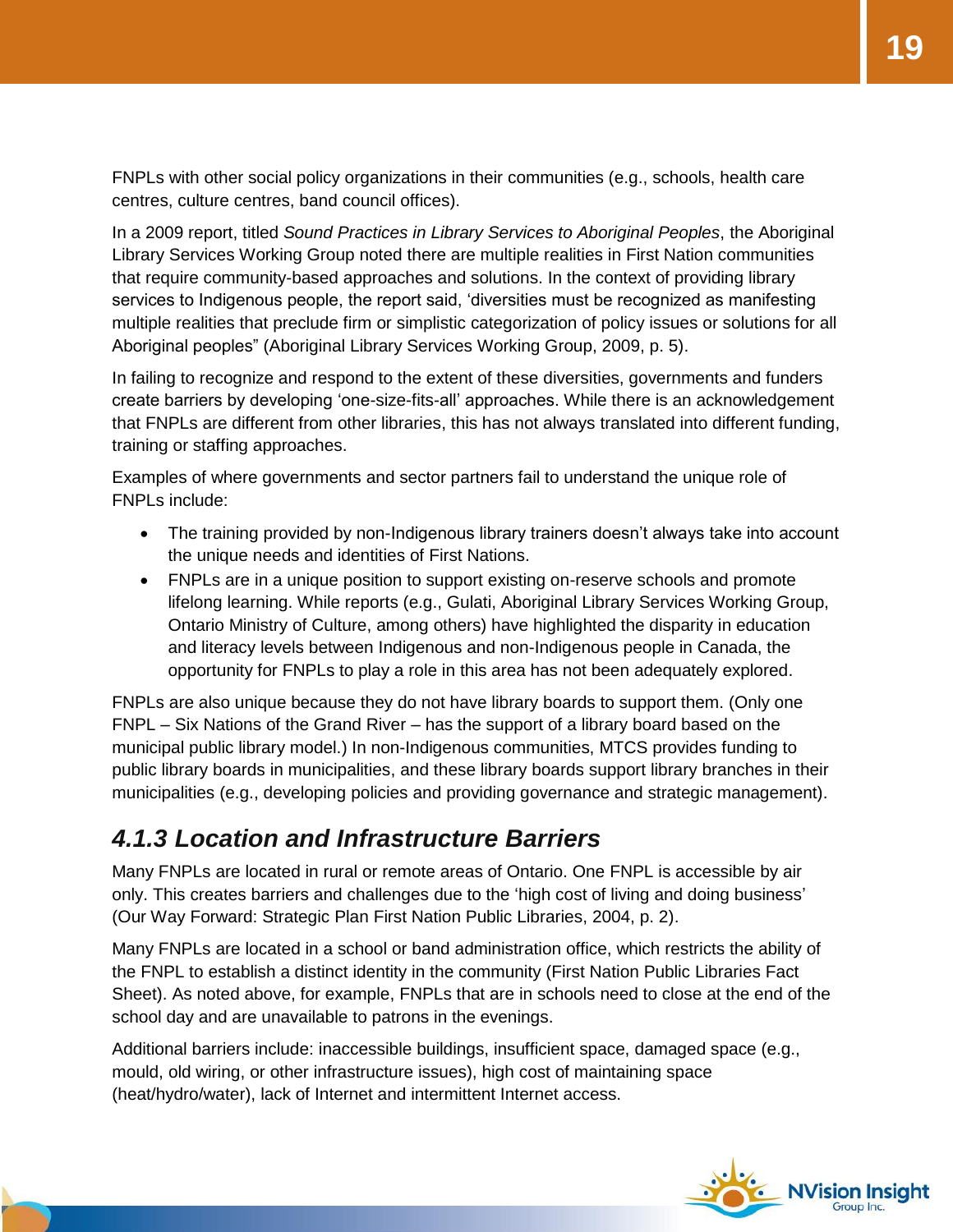FNPLs with other social policy organizations in their communities (e.g., schools, health care centres, culture centres, band council offices).

In a 2009 report, titled *Sound Practices in Library Services to Aboriginal Peoples*, the Aboriginal Library Services Working Group noted there are multiple realities in First Nation communities that require community-based approaches and solutions. In the context of providing library services to Indigenous people, the report said, 'diversities must be recognized as manifesting multiple realities that preclude firm or simplistic categorization of policy issues or solutions for all Aboriginal peoples" (Aboriginal Library Services Working Group, 2009, p. 5).

In failing to recognize and respond to the extent of these diversities, governments and funders create barriers by developing 'one-size-fits-all' approaches. While there is an acknowledgement that FNPLs are different from other libraries, this has not always translated into different funding, training or staffing approaches.

Examples of where governments and sector partners fail to understand the unique role of FNPLs include:

- The training provided by non-Indigenous library trainers doesn't always take into account the unique needs and identities of First Nations.
- FNPLs are in a unique position to support existing on-reserve schools and promote lifelong learning. While reports (e.g., Gulati, Aboriginal Library Services Working Group, Ontario Ministry of Culture, among others) have highlighted the disparity in education and literacy levels between Indigenous and non-Indigenous people in Canada, the opportunity for FNPLs to play a role in this area has not been adequately explored.

FNPLs are also unique because they do not have library boards to support them. (Only one FNPL – Six Nations of the Grand River – has the support of a library board based on the municipal public library model.) In non-Indigenous communities, MTCS provides funding to public library boards in municipalities, and these library boards support library branches in their municipalities (e.g., developing policies and providing governance and strategic management).

### <span id="page-18-0"></span>*4.1.3 Location and Infrastructure Barriers*

Many FNPLs are located in rural or remote areas of Ontario. One FNPL is accessible by air only. This creates barriers and challenges due to the 'high cost of living and doing business' (Our Way Forward: Strategic Plan First Nation Public Libraries, 2004, p. 2).

Many FNPLs are located in a school or band administration office, which restricts the ability of the FNPL to establish a distinct identity in the community (First Nation Public Libraries Fact Sheet). As noted above, for example, FNPLs that are in schools need to close at the end of the school day and are unavailable to patrons in the evenings.

Additional barriers include: inaccessible buildings, insufficient space, damaged space (e.g., mould, old wiring, or other infrastructure issues), high cost of maintaining space (heat/hydro/water), lack of Internet and intermittent Internet access.

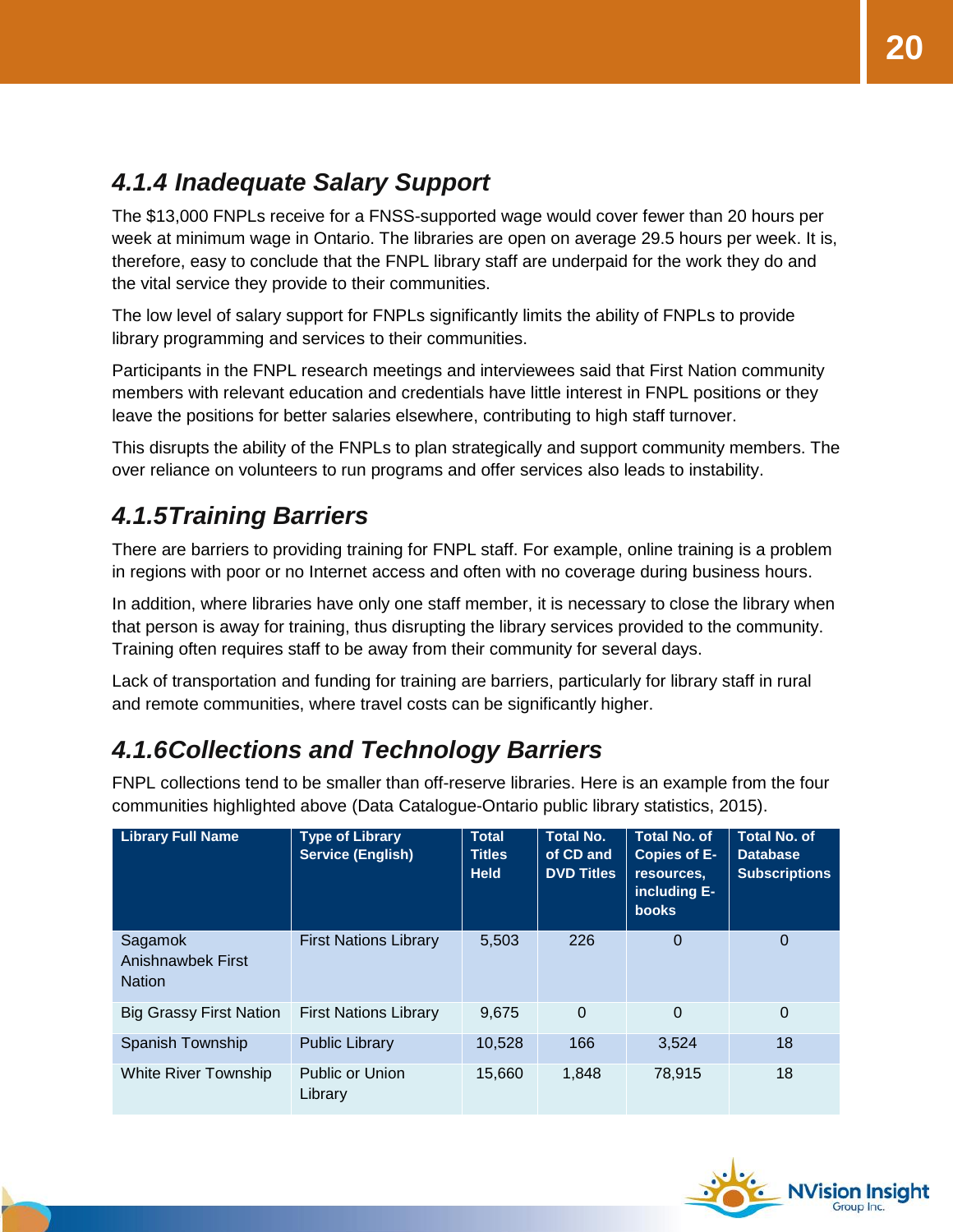### <span id="page-19-0"></span>*4.1.4 Inadequate Salary Support*

The \$13,000 FNPLs receive for a FNSS-supported wage would cover fewer than 20 hours per week at minimum wage in Ontario. The libraries are open on average 29.5 hours per week. It is, therefore, easy to conclude that the FNPL library staff are underpaid for the work they do and the vital service they provide to their communities.

The low level of salary support for FNPLs significantly limits the ability of FNPLs to provide library programming and services to their communities.

Participants in the FNPL research meetings and interviewees said that First Nation community members with relevant education and credentials have little interest in FNPL positions or they leave the positions for better salaries elsewhere, contributing to high staff turnover.

This disrupts the ability of the FNPLs to plan strategically and support community members. The over reliance on volunteers to run programs and offer services also leads to instability.

### <span id="page-19-1"></span>*4.1.5Training Barriers*

There are barriers to providing training for FNPL staff. For example, online training is a problem in regions with poor or no Internet access and often with no coverage during business hours.

In addition, where libraries have only one staff member, it is necessary to close the library when that person is away for training, thus disrupting the library services provided to the community. Training often requires staff to be away from their community for several days.

Lack of transportation and funding for training are barriers, particularly for library staff in rural and remote communities, where travel costs can be significantly higher.

### <span id="page-19-2"></span>*4.1.6Collections and Technology Barriers*

FNPL collections tend to be smaller than off-reserve libraries. Here is an example from the four communities highlighted above (Data Catalogue-Ontario public library statistics, 2015).

| <b>Library Full Name</b>                      | <b>Type of Library</b><br><b>Service (English)</b> | <b>Total</b><br><b>Titles</b><br><b>Held</b> | <b>Total No.</b><br>of CD and<br><b>DVD Titles</b> | <b>Total No. of</b><br><b>Copies of E-</b><br>resources,<br>including E-<br><b>books</b> | <b>Total No. of</b><br><b>Database</b><br><b>Subscriptions</b> |
|-----------------------------------------------|----------------------------------------------------|----------------------------------------------|----------------------------------------------------|------------------------------------------------------------------------------------------|----------------------------------------------------------------|
| Sagamok<br>Anishnawbek First<br><b>Nation</b> | <b>First Nations Library</b>                       | 5,503                                        | 226                                                | $\Omega$                                                                                 | $\Omega$                                                       |
| <b>Big Grassy First Nation</b>                | <b>First Nations Library</b>                       | 9.675                                        | 0                                                  | 0                                                                                        | $\Omega$                                                       |
| Spanish Township                              | <b>Public Library</b>                              | 10,528                                       | 166                                                | 3,524                                                                                    | 18                                                             |
| White River Township                          | <b>Public or Union</b><br>Library                  | 15.660                                       | 1,848                                              | 78,915                                                                                   | 18                                                             |

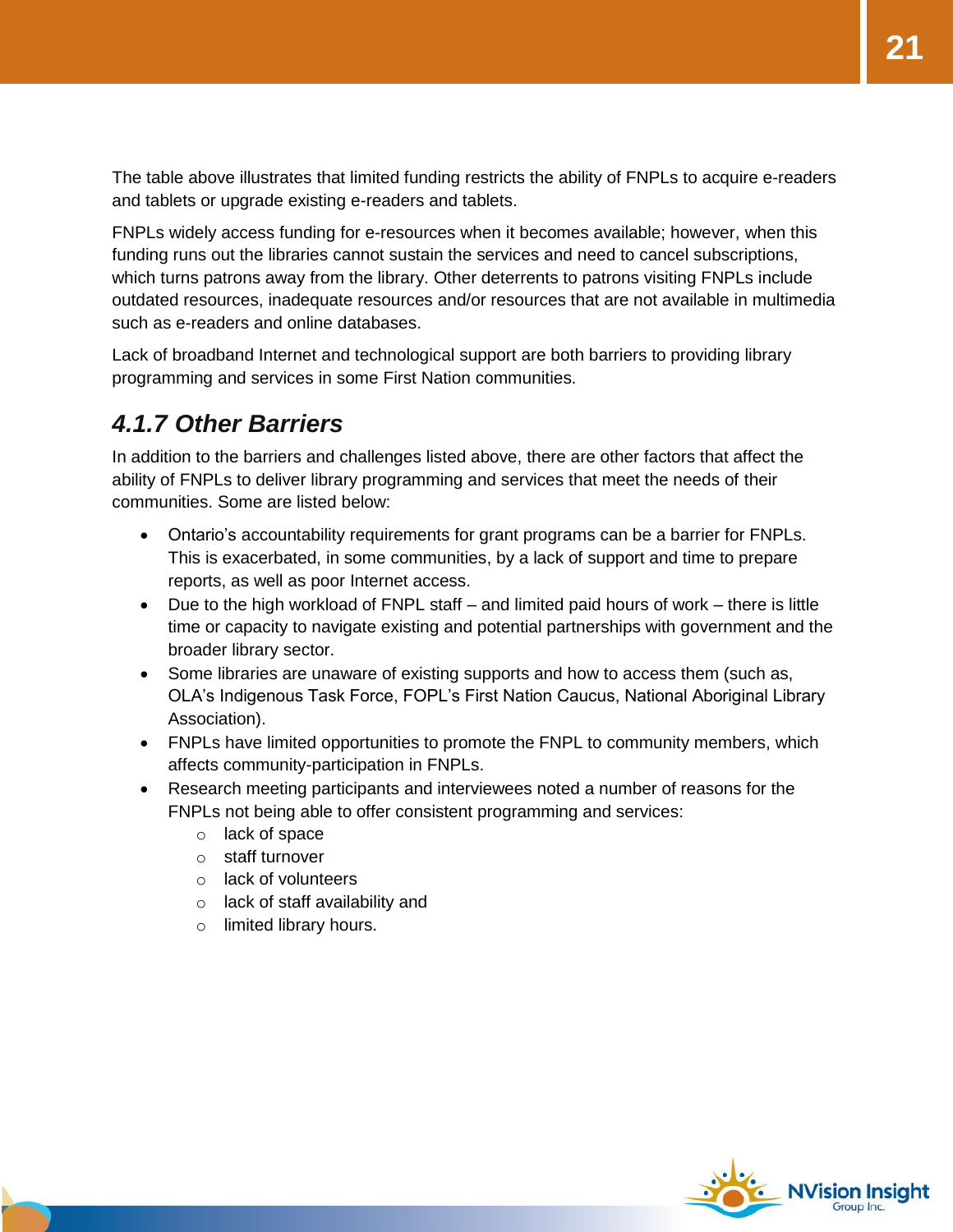The table above illustrates that limited funding restricts the ability of FNPLs to acquire e-readers and tablets or upgrade existing e-readers and tablets.

FNPLs widely access funding for e-resources when it becomes available; however, when this funding runs out the libraries cannot sustain the services and need to cancel subscriptions, which turns patrons away from the library. Other deterrents to patrons visiting FNPLs include outdated resources, inadequate resources and/or resources that are not available in multimedia such as e-readers and online databases.

Lack of broadband Internet and technological support are both barriers to providing library programming and services in some First Nation communities.

### <span id="page-20-0"></span>*4.1.7 Other Barriers*

In addition to the barriers and challenges listed above, there are other factors that affect the ability of FNPLs to deliver library programming and services that meet the needs of their communities. Some are listed below:

- Ontario's accountability requirements for grant programs can be a barrier for FNPLs. This is exacerbated, in some communities, by a lack of support and time to prepare reports, as well as poor Internet access.
- Due to the high workload of FNPL staff and limited paid hours of work there is little time or capacity to navigate existing and potential partnerships with government and the broader library sector.
- Some libraries are unaware of existing supports and how to access them (such as, OLA's Indigenous Task Force, FOPL's First Nation Caucus, National Aboriginal Library Association).
- FNPLs have limited opportunities to promote the FNPL to community members, which affects community-participation in FNPLs.
- Research meeting participants and interviewees noted a number of reasons for the FNPLs not being able to offer consistent programming and services:
	- o lack of space
	- o staff turnover
	- o lack of volunteers
	- o lack of staff availability and
	- o limited library hours.

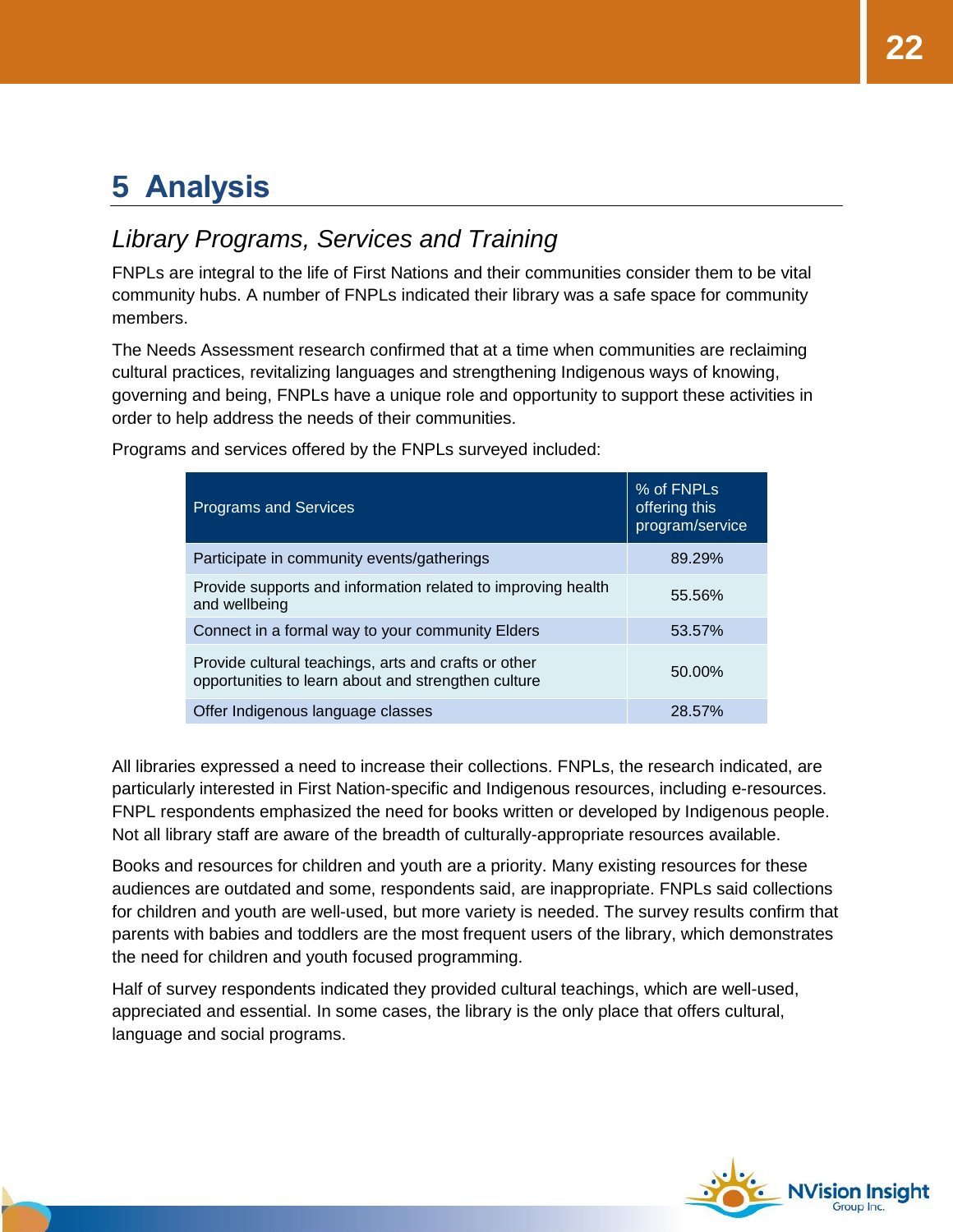# <span id="page-21-0"></span>**5 Analysis**

### <span id="page-21-1"></span>*Library Programs, Services and Training*

FNPLs are integral to the life of First Nations and their communities consider them to be vital community hubs. A number of FNPLs indicated their library was a safe space for community members.

The Needs Assessment research confirmed that at a time when communities are reclaiming cultural practices, revitalizing languages and strengthening Indigenous ways of knowing, governing and being, FNPLs have a unique role and opportunity to support these activities in order to help address the needs of their communities.

| <b>Programs and Services</b>                                                                                | % of FNPLs<br>offering this<br>program/service |
|-------------------------------------------------------------------------------------------------------------|------------------------------------------------|
| Participate in community events/gatherings                                                                  | 89.29%                                         |
| Provide supports and information related to improving health<br>and wellbeing                               | 55.56%                                         |
| Connect in a formal way to your community Elders                                                            | 53.57%                                         |
| Provide cultural teachings, arts and crafts or other<br>opportunities to learn about and strengthen culture | 50.00%                                         |
| Offer Indigenous language classes                                                                           | 28.57%                                         |

Programs and services offered by the FNPLs surveyed included:

All libraries expressed a need to increase their collections. FNPLs, the research indicated, are particularly interested in First Nation-specific and Indigenous resources, including e-resources. FNPL respondents emphasized the need for books written or developed by Indigenous people. Not all library staff are aware of the breadth of culturally-appropriate resources available.

Books and resources for children and youth are a priority. Many existing resources for these audiences are outdated and some, respondents said, are inappropriate. FNPLs said collections for children and youth are well-used, but more variety is needed. The survey results confirm that parents with babies and toddlers are the most frequent users of the library, which demonstrates the need for children and youth focused programming.

Half of survey respondents indicated they provided cultural teachings, which are well-used, appreciated and essential. In some cases, the library is the only place that offers cultural, language and social programs.

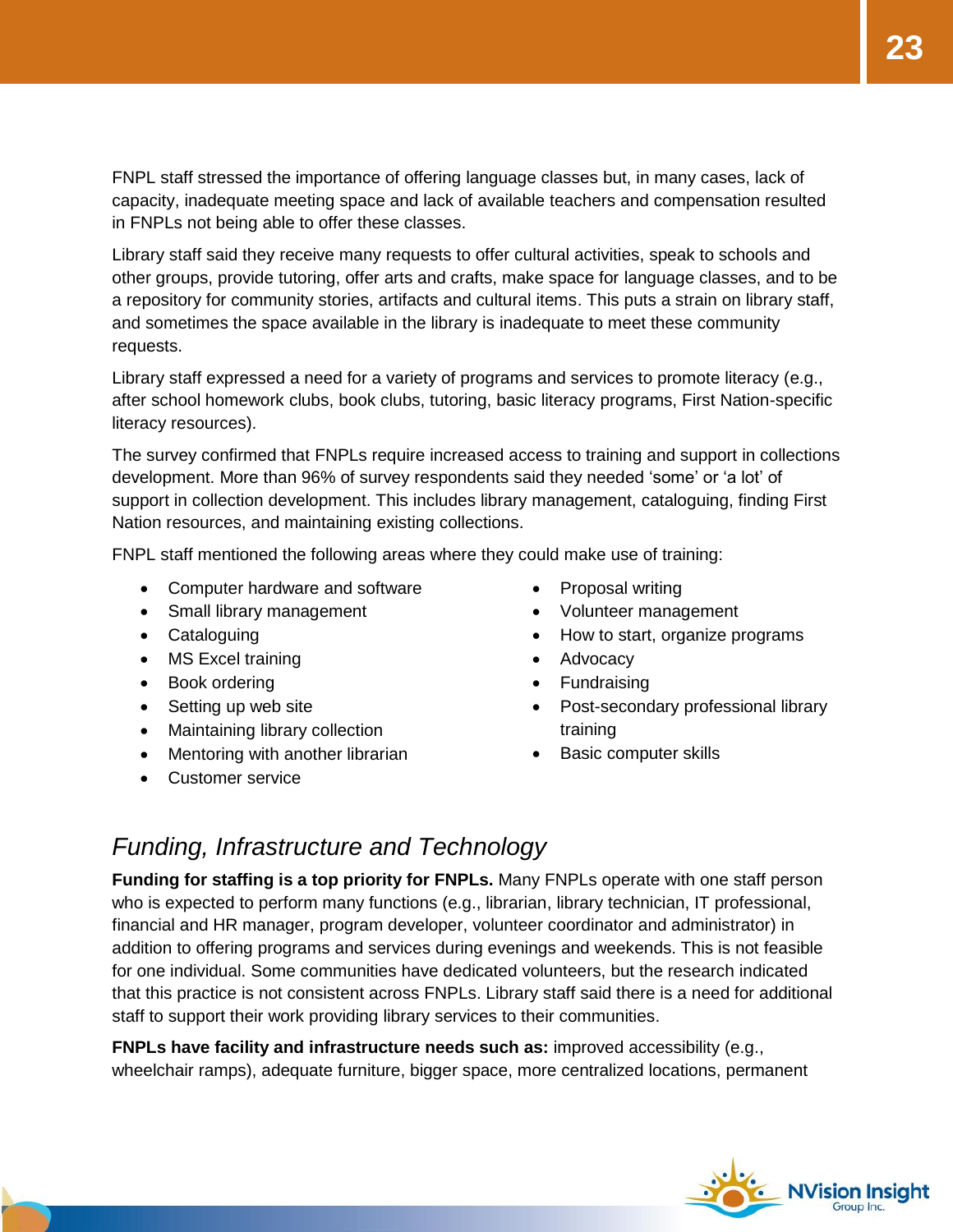FNPL staff stressed the importance of offering language classes but, in many cases, lack of capacity, inadequate meeting space and lack of available teachers and compensation resulted in FNPLs not being able to offer these classes.

Library staff said they receive many requests to offer cultural activities, speak to schools and other groups, provide tutoring, offer arts and crafts, make space for language classes, and to be a repository for community stories, artifacts and cultural items. This puts a strain on library staff, and sometimes the space available in the library is inadequate to meet these community requests.

Library staff expressed a need for a variety of programs and services to promote literacy (e.g., after school homework clubs, book clubs, tutoring, basic literacy programs, First Nation-specific literacy resources).

The survey confirmed that FNPLs require increased access to training and support in collections development. More than 96% of survey respondents said they needed 'some' or 'a lot' of support in collection development. This includes library management, cataloguing, finding First Nation resources, and maintaining existing collections.

FNPL staff mentioned the following areas where they could make use of training:

- Computer hardware and software
- Small library management
- Cataloguing
- MS Excel training
- Book ordering
- Setting up web site
- Maintaining library collection
- Mentoring with another librarian
- Customer service
- Proposal writing
- Volunteer management
- How to start, organize programs
- Advocacy
- Fundraising
- Post-secondary professional library training
- Basic computer skills

#### <span id="page-22-0"></span>*Funding, Infrastructure and Technology*

**Funding for staffing is a top priority for FNPLs.** Many FNPLs operate with one staff person who is expected to perform many functions (e.g., librarian, library technician, IT professional, financial and HR manager, program developer, volunteer coordinator and administrator) in addition to offering programs and services during evenings and weekends. This is not feasible for one individual. Some communities have dedicated volunteers, but the research indicated that this practice is not consistent across FNPLs. Library staff said there is a need for additional staff to support their work providing library services to their communities.

**FNPLs have facility and infrastructure needs such as:** improved accessibility (e.g., wheelchair ramps), adequate furniture, bigger space, more centralized locations, permanent

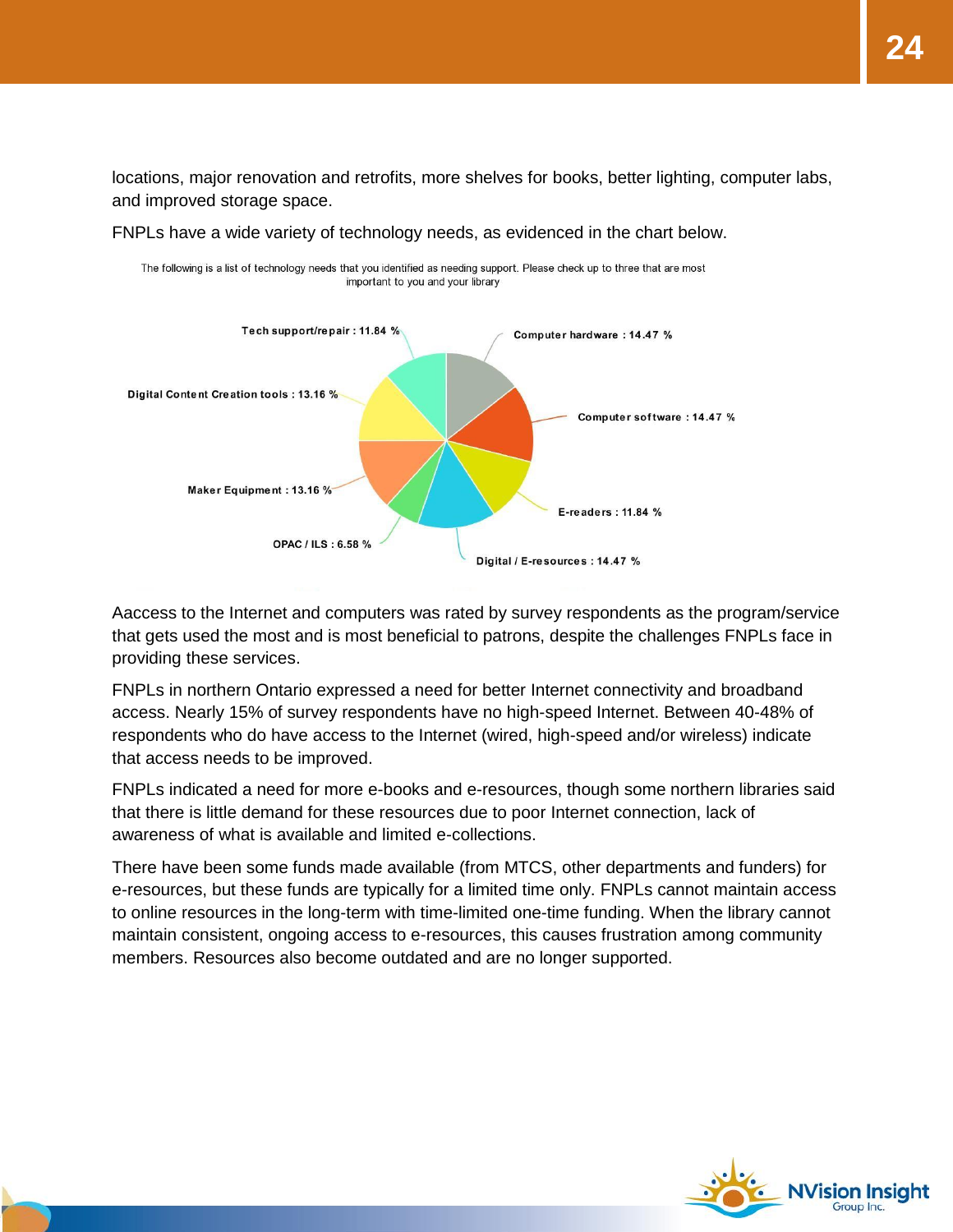locations, major renovation and retrofits, more shelves for books, better lighting, computer labs, and improved storage space.

FNPLs have a wide variety of technology needs, as evidenced in the chart below.



Aaccess to the Internet and computers was rated by survey respondents as the program/service that gets used the most and is most beneficial to patrons, despite the challenges FNPLs face in providing these services.

FNPLs in northern Ontario expressed a need for better Internet connectivity and broadband access. Nearly 15% of survey respondents have no high-speed Internet. Between 40-48% of respondents who do have access to the Internet (wired, high-speed and/or wireless) indicate that access needs to be improved.

FNPLs indicated a need for more e-books and e-resources, though some northern libraries said that there is little demand for these resources due to poor Internet connection, lack of awareness of what is available and limited e-collections.

There have been some funds made available (from MTCS, other departments and funders) for e-resources, but these funds are typically for a limited time only. FNPLs cannot maintain access to online resources in the long-term with time-limited one-time funding. When the library cannot maintain consistent, ongoing access to e-resources, this causes frustration among community members. Resources also become outdated and are no longer supported.

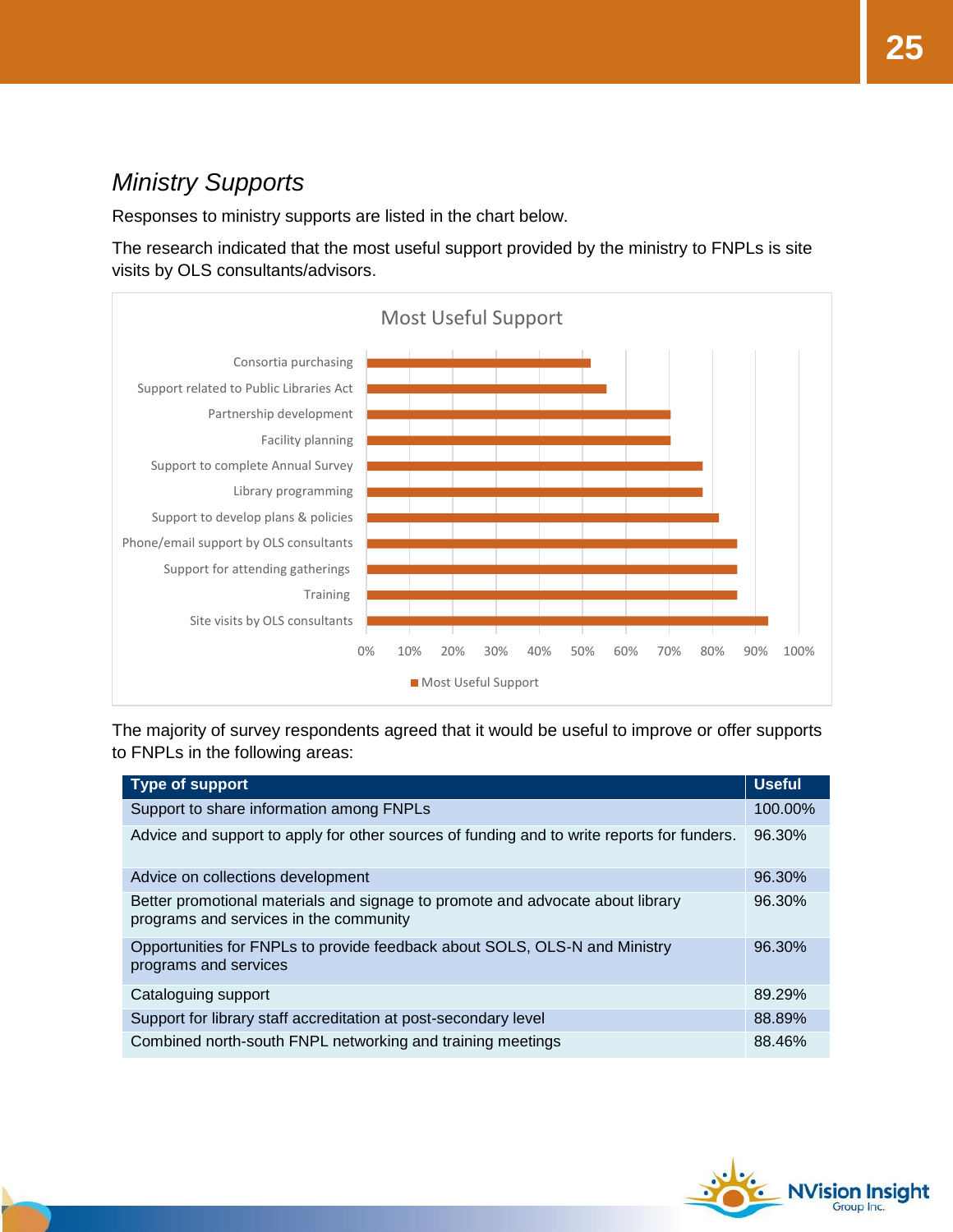### <span id="page-24-0"></span>*Ministry Supports*

Responses to ministry supports are listed in the chart below.

The research indicated that the most useful support provided by the ministry to FNPLs is site visits by OLS consultants/advisors.



The majority of survey respondents agreed that it would be useful to improve or offer supports to FNPLs in the following areas:

| <b>Type of support</b>                                                                                                   | <b>Useful</b> |
|--------------------------------------------------------------------------------------------------------------------------|---------------|
| Support to share information among FNPLs                                                                                 | 100.00%       |
| Advice and support to apply for other sources of funding and to write reports for funders.                               | 96.30%        |
| Advice on collections development                                                                                        | 96.30%        |
| Better promotional materials and signage to promote and advocate about library<br>programs and services in the community | 96.30%        |
| Opportunities for FNPLs to provide feedback about SOLS, OLS-N and Ministry<br>programs and services                      | 96.30%        |
| Cataloguing support                                                                                                      | 89.29%        |
| Support for library staff accreditation at post-secondary level                                                          | 88.89%        |
| Combined north-south FNPL networking and training meetings                                                               | 88.46%        |

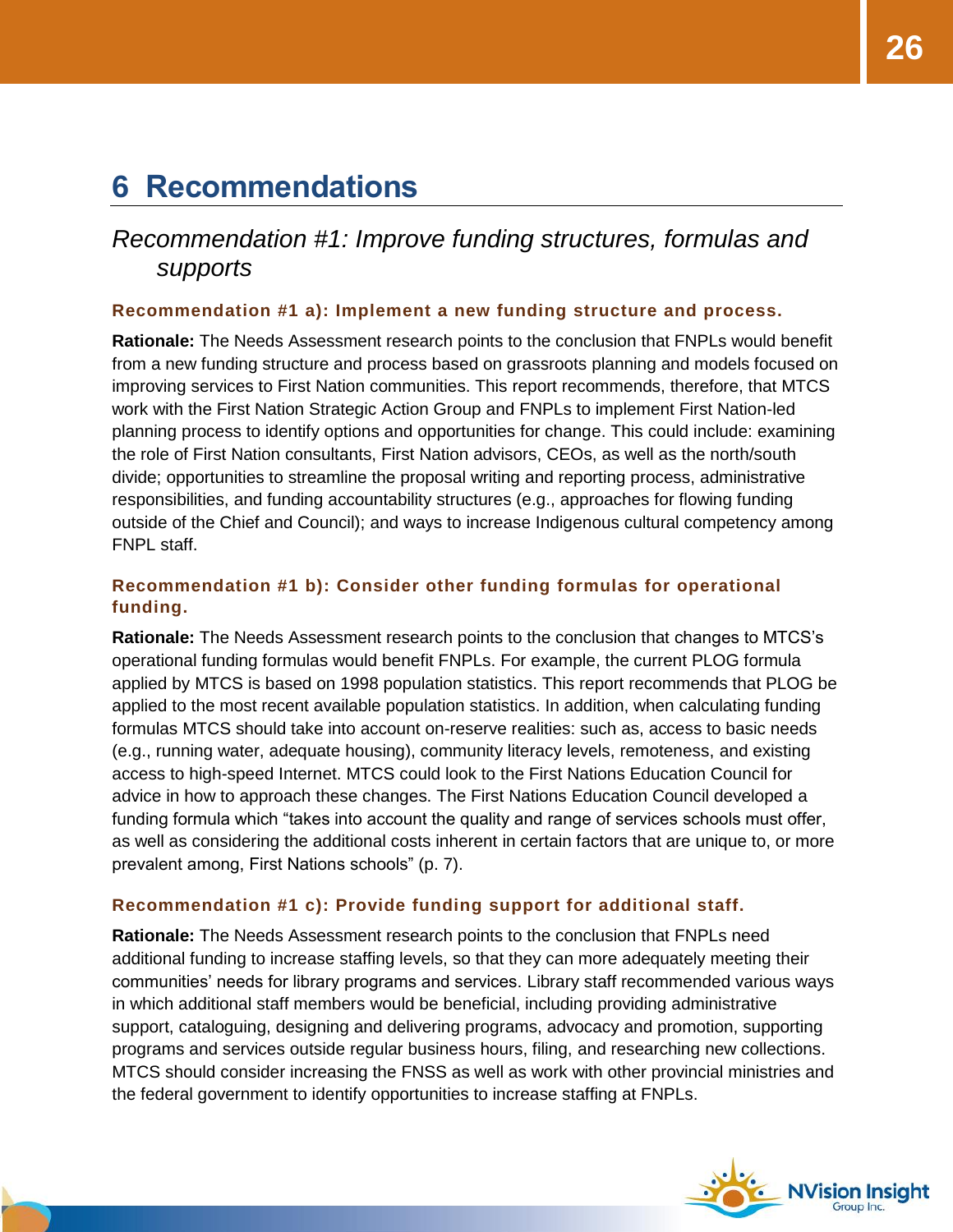## <span id="page-25-0"></span>**6 Recommendations**

#### <span id="page-25-1"></span>*Recommendation #1: Improve funding structures, formulas and supports*

#### <span id="page-25-2"></span>**Recommendation #1 a): Implement a new funding structure and process.**

**Rationale:** The Needs Assessment research points to the conclusion that FNPLs would benefit from a new funding structure and process based on grassroots planning and models focused on improving services to First Nation communities. This report recommends, therefore, that MTCS work with the First Nation Strategic Action Group and FNPLs to implement First Nation-led planning process to identify options and opportunities for change. This could include: examining the role of First Nation consultants, First Nation advisors, CEOs, as well as the north/south divide; opportunities to streamline the proposal writing and reporting process, administrative responsibilities, and funding accountability structures (e.g., approaches for flowing funding outside of the Chief and Council); and ways to increase Indigenous cultural competency among FNPL staff.

#### <span id="page-25-3"></span>**Recommendation #1 b): Consider other funding formulas for operational funding.**

**Rationale:** The Needs Assessment research points to the conclusion that changes to MTCS's operational funding formulas would benefit FNPLs. For example, the current PLOG formula applied by MTCS is based on 1998 population statistics. This report recommends that PLOG be applied to the most recent available population statistics. In addition, when calculating funding formulas MTCS should take into account on-reserve realities: such as, access to basic needs (e.g., running water, adequate housing), community literacy levels, remoteness, and existing access to high-speed Internet. MTCS could look to the First Nations Education Council for advice in how to approach these changes. The First Nations Education Council developed a funding formula which "takes into account the quality and range of services schools must offer, as well as considering the additional costs inherent in certain factors that are unique to, or more prevalent among, First Nations schools" (p. 7).

#### <span id="page-25-4"></span>**Recommendation #1 c): Provide funding support for additional staff.**

**Rationale:** The Needs Assessment research points to the conclusion that FNPLs need additional funding to increase staffing levels, so that they can more adequately meeting their communities' needs for library programs and services. Library staff recommended various ways in which additional staff members would be beneficial, including providing administrative support, cataloguing, designing and delivering programs, advocacy and promotion, supporting programs and services outside regular business hours, filing, and researching new collections. MTCS should consider increasing the FNSS as well as work with other provincial ministries and the federal government to identify opportunities to increase staffing at FNPLs.

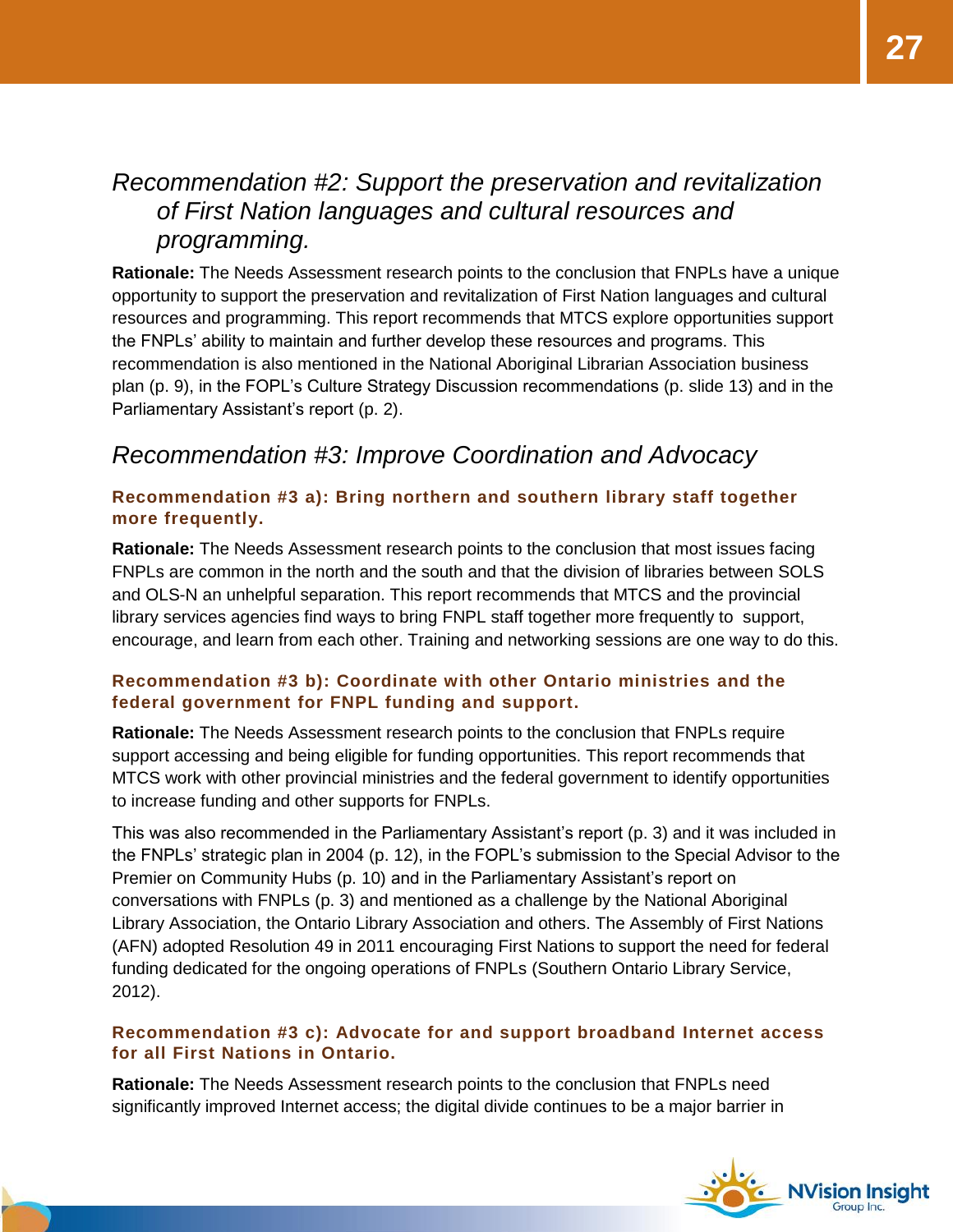### <span id="page-26-0"></span>*Recommendation #2: Support the preservation and revitalization of First Nation languages and cultural resources and programming.*

**Rationale:** The Needs Assessment research points to the conclusion that FNPLs have a unique opportunity to support the preservation and revitalization of First Nation languages and cultural resources and programming. This report recommends that MTCS explore opportunities support the FNPLs' ability to maintain and further develop these resources and programs. This recommendation is also mentioned in the National Aboriginal Librarian Association business plan (p. 9), in the FOPL's Culture Strategy Discussion recommendations (p. slide 13) and in the Parliamentary Assistant's report (p. 2).

#### <span id="page-26-1"></span>*Recommendation #3: Improve Coordination and Advocacy*

#### <span id="page-26-2"></span>**Recommendation #3 a): Bring northern and southern library staff together more frequently.**

**Rationale:** The Needs Assessment research points to the conclusion that most issues facing FNPLs are common in the north and the south and that the division of libraries between SOLS and OLS-N an unhelpful separation. This report recommends that MTCS and the provincial library services agencies find ways to bring FNPL staff together more frequently to support, encourage, and learn from each other. Training and networking sessions are one way to do this.

#### <span id="page-26-3"></span>**Recommendation #3 b): Coordinate with other Ontario ministries and the federal government for FNPL funding and support.**

**Rationale:** The Needs Assessment research points to the conclusion that FNPLs require support accessing and being eligible for funding opportunities. This report recommends that MTCS work with other provincial ministries and the federal government to identify opportunities to increase funding and other supports for FNPLs.

This was also recommended in the Parliamentary Assistant's report (p. 3) and it was included in the FNPLs' strategic plan in 2004 (p. 12), in the FOPL's submission to the Special Advisor to the Premier on Community Hubs (p. 10) and in the Parliamentary Assistant's report on conversations with FNPLs (p. 3) and mentioned as a challenge by the National Aboriginal Library Association, the Ontario Library Association and others. The Assembly of First Nations (AFN) adopted Resolution 49 in 2011 encouraging First Nations to support the need for federal funding dedicated for the ongoing operations of FNPLs (Southern Ontario Library Service, 2012).

#### <span id="page-26-4"></span>**Recommendation #3 c): Advocate for and support broadband Internet access for all First Nations in Ontario.**

**Rationale:** The Needs Assessment research points to the conclusion that FNPLs need significantly improved Internet access; the digital divide continues to be a major barrier in

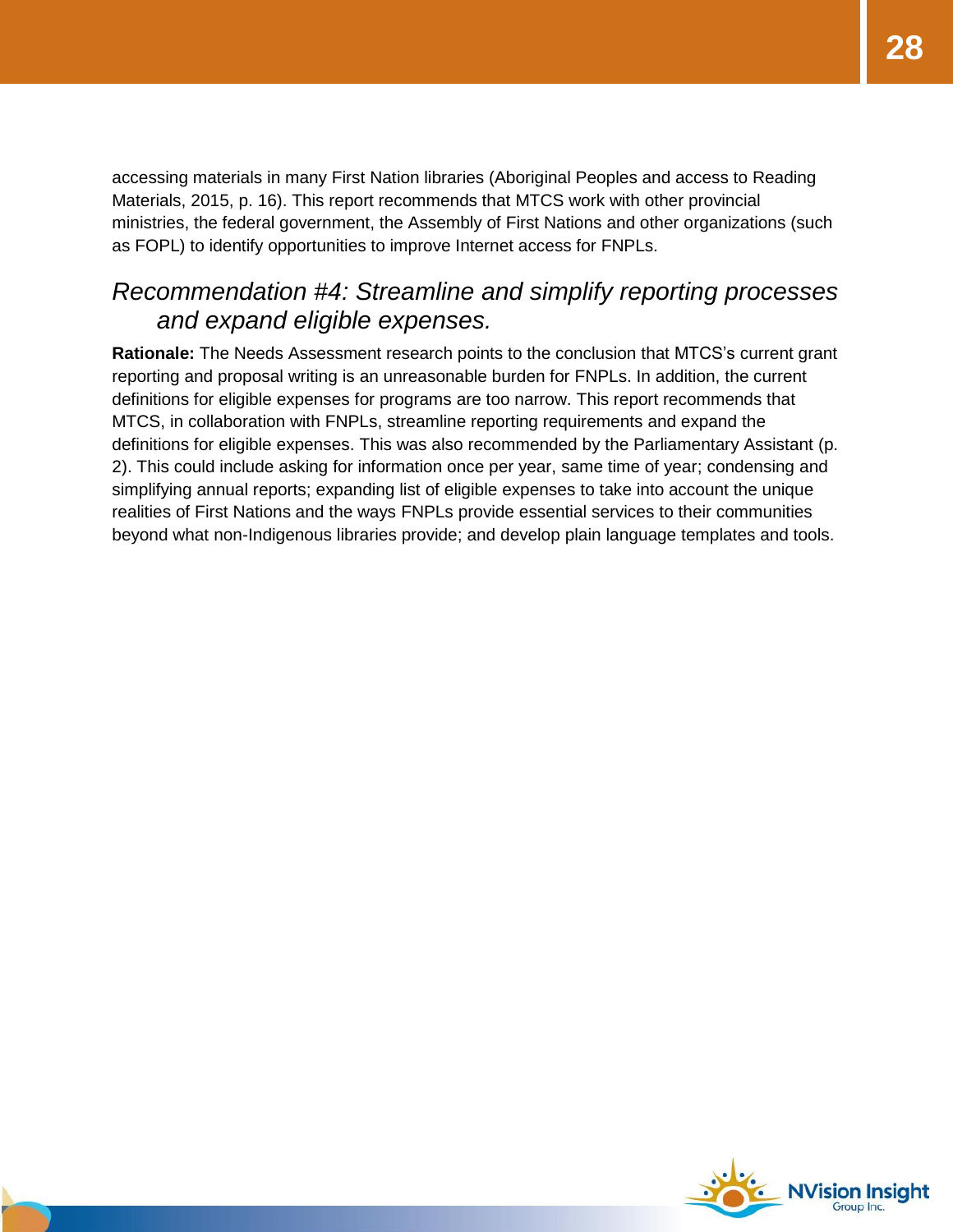accessing materials in many First Nation libraries (Aboriginal Peoples and access to Reading Materials, 2015, p. 16). This report recommends that MTCS work with other provincial ministries, the federal government, the Assembly of First Nations and other organizations (such as FOPL) to identify opportunities to improve Internet access for FNPLs.

#### <span id="page-27-0"></span>*Recommendation #4: Streamline and simplify reporting processes and expand eligible expenses.*

**Rationale:** The Needs Assessment research points to the conclusion that MTCS's current grant reporting and proposal writing is an unreasonable burden for FNPLs. In addition, the current definitions for eligible expenses for programs are too narrow. This report recommends that MTCS, in collaboration with FNPLs, streamline reporting requirements and expand the definitions for eligible expenses. This was also recommended by the Parliamentary Assistant (p. 2). This could include asking for information once per year, same time of year; condensing and simplifying annual reports; expanding list of eligible expenses to take into account the unique realities of First Nations and the ways FNPLs provide essential services to their communities beyond what non-Indigenous libraries provide; and develop plain language templates and tools.

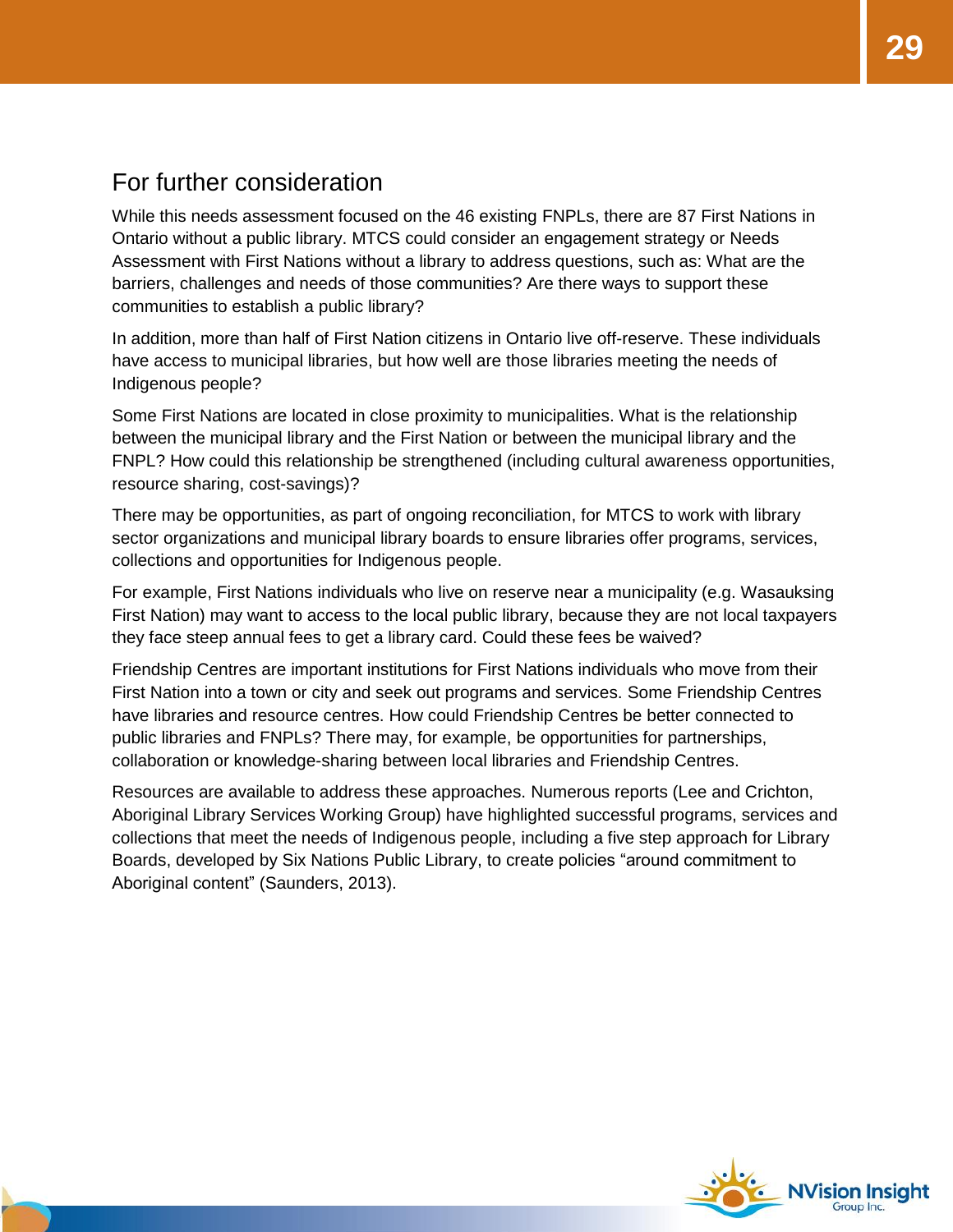#### <span id="page-28-0"></span>For further consideration

While this needs assessment focused on the 46 existing FNPLs, there are 87 First Nations in Ontario without a public library. MTCS could consider an engagement strategy or Needs Assessment with First Nations without a library to address questions, such as: What are the barriers, challenges and needs of those communities? Are there ways to support these communities to establish a public library?

In addition, more than half of First Nation citizens in Ontario live off-reserve. These individuals have access to municipal libraries, but how well are those libraries meeting the needs of Indigenous people?

Some First Nations are located in close proximity to municipalities. What is the relationship between the municipal library and the First Nation or between the municipal library and the FNPL? How could this relationship be strengthened (including cultural awareness opportunities, resource sharing, cost-savings)?

There may be opportunities, as part of ongoing reconciliation, for MTCS to work with library sector organizations and municipal library boards to ensure libraries offer programs, services, collections and opportunities for Indigenous people.

For example, First Nations individuals who live on reserve near a municipality (e.g. Wasauksing First Nation) may want to access to the local public library, because they are not local taxpayers they face steep annual fees to get a library card. Could these fees be waived?

Friendship Centres are important institutions for First Nations individuals who move from their First Nation into a town or city and seek out programs and services. Some Friendship Centres have libraries and resource centres. How could Friendship Centres be better connected to public libraries and FNPLs? There may, for example, be opportunities for partnerships, collaboration or knowledge-sharing between local libraries and Friendship Centres.

Resources are available to address these approaches. Numerous reports (Lee and Crichton, Aboriginal Library Services Working Group) have highlighted successful programs, services and collections that meet the needs of Indigenous people, including a five step approach for Library Boards, developed by Six Nations Public Library, to create policies "around commitment to Aboriginal content" (Saunders, 2013).

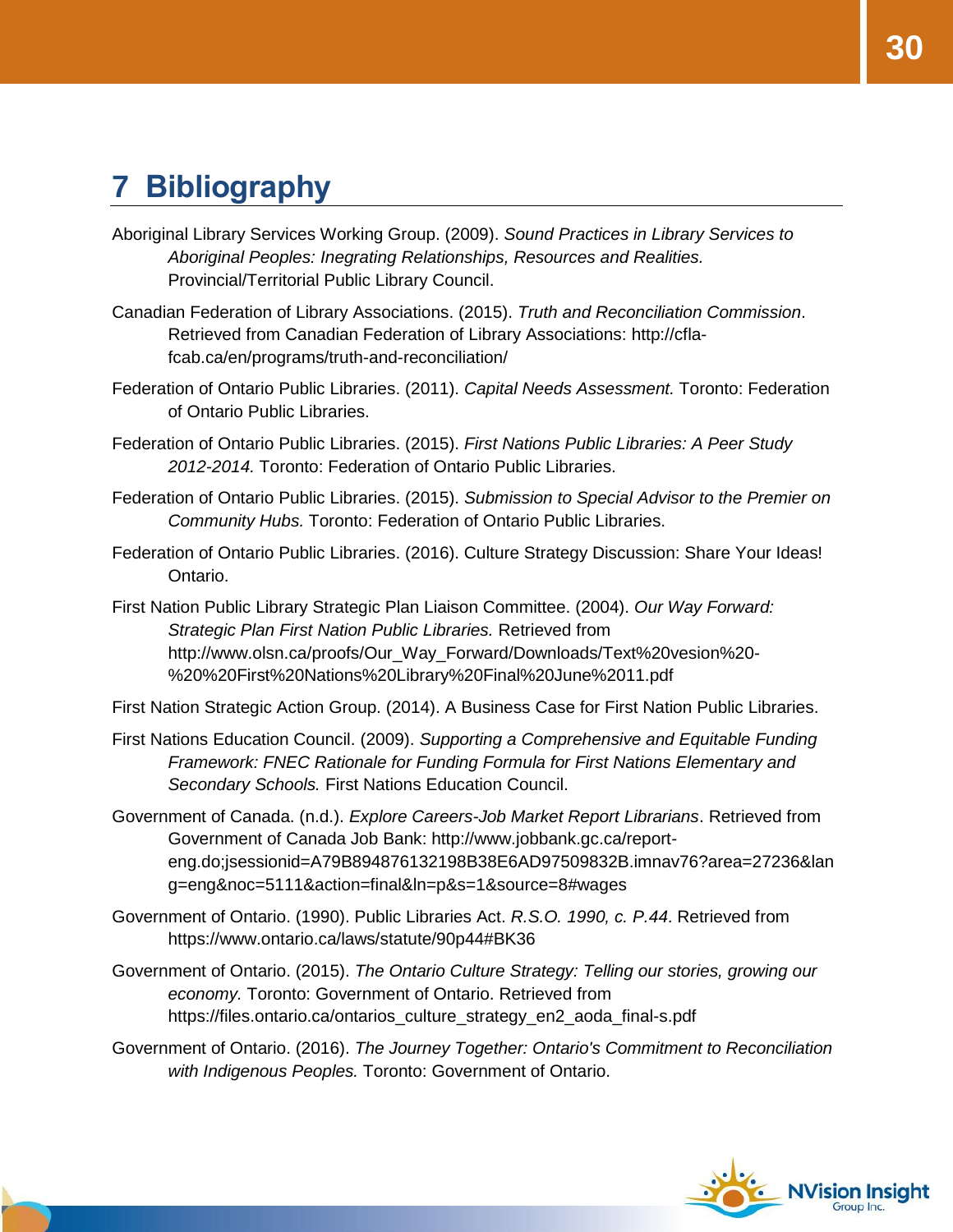# <span id="page-29-0"></span>**7 Bibliography**

- Aboriginal Library Services Working Group. (2009). *Sound Practices in Library Services to Aboriginal Peoples: Inegrating Relationships, Resources and Realities.* Provincial/Territorial Public Library Council.
- Canadian Federation of Library Associations. (2015). *Truth and Reconciliation Commission*. Retrieved from Canadian Federation of Library Associations: http://cflafcab.ca/en/programs/truth-and-reconciliation/
- Federation of Ontario Public Libraries. (2011). *Capital Needs Assessment.* Toronto: Federation of Ontario Public Libraries.
- Federation of Ontario Public Libraries. (2015). *First Nations Public Libraries: A Peer Study 2012-2014.* Toronto: Federation of Ontario Public Libraries.
- Federation of Ontario Public Libraries. (2015). *Submission to Special Advisor to the Premier on Community Hubs.* Toronto: Federation of Ontario Public Libraries.
- Federation of Ontario Public Libraries. (2016). Culture Strategy Discussion: Share Your Ideas! Ontario.
- First Nation Public Library Strategic Plan Liaison Committee. (2004). *Our Way Forward: Strategic Plan First Nation Public Libraries.* Retrieved from http://www.olsn.ca/proofs/Our\_Way\_Forward/Downloads/Text%20vesion%20- %20%20First%20Nations%20Library%20Final%20June%2011.pdf

First Nation Strategic Action Group. (2014). A Business Case for First Nation Public Libraries.

- First Nations Education Council. (2009). *Supporting a Comprehensive and Equitable Funding Framework: FNEC Rationale for Funding Formula for First Nations Elementary and Secondary Schools.* First Nations Education Council.
- Government of Canada. (n.d.). *Explore Careers-Job Market Report Librarians*. Retrieved from Government of Canada Job Bank: http://www.jobbank.gc.ca/reporteng.do;jsessionid=A79B894876132198B38E6AD97509832B.imnav76?area=27236&lan g=eng&noc=5111&action=final&ln=p&s=1&source=8#wages
- Government of Ontario. (1990). Public Libraries Act. *R.S.O. 1990, c. P.44*. Retrieved from https://www.ontario.ca/laws/statute/90p44#BK36
- Government of Ontario. (2015). *The Ontario Culture Strategy: Telling our stories, growing our economy.* Toronto: Government of Ontario. Retrieved from https://files.ontario.ca/ontarios\_culture\_strategy\_en2\_aoda\_final-s.pdf
- Government of Ontario. (2016). *The Journey Together: Ontario's Commitment to Reconciliation with Indigenous Peoples.* Toronto: Government of Ontario.

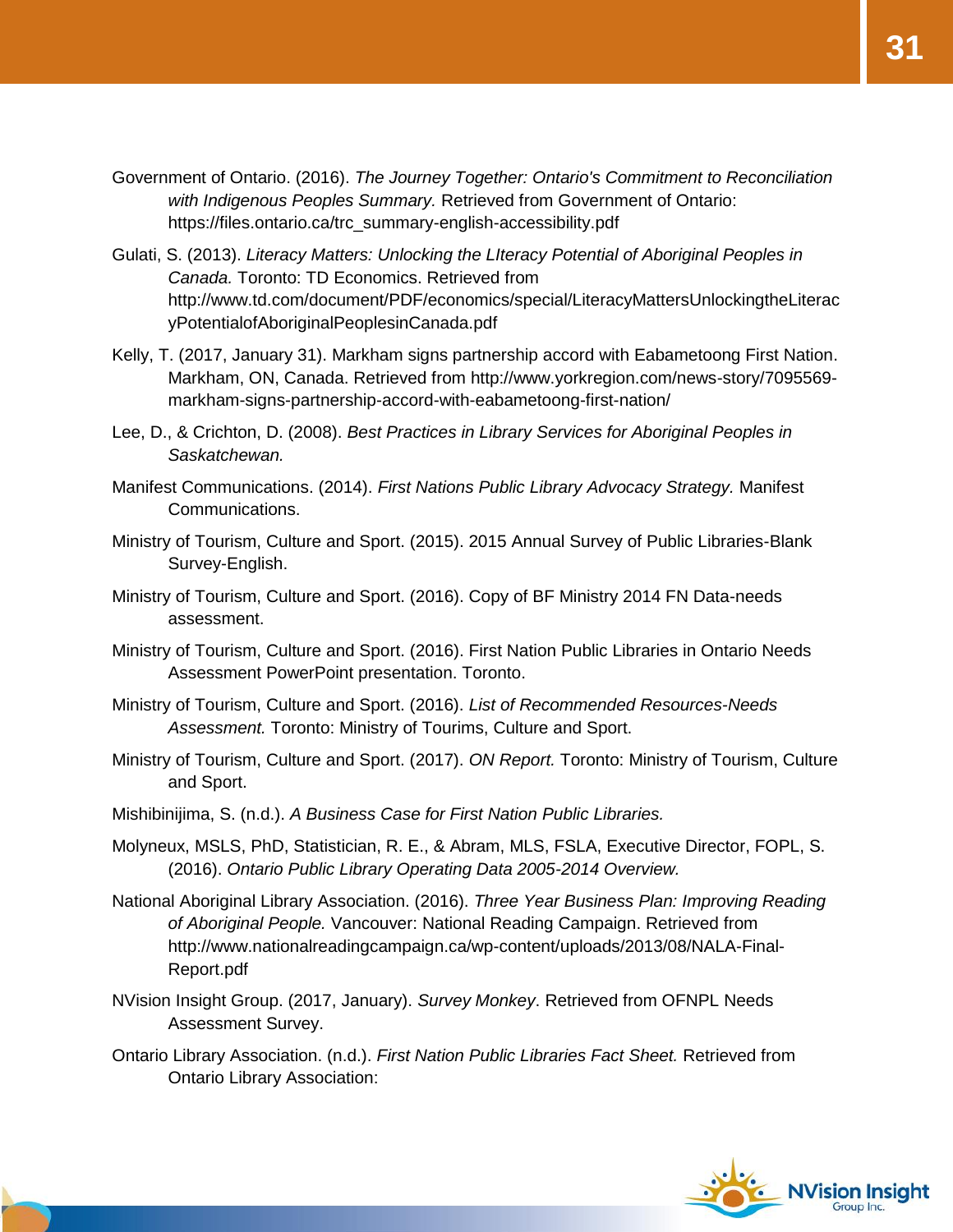- Government of Ontario. (2016). *The Journey Together: Ontario's Commitment to Reconciliation with Indigenous Peoples Summary.* Retrieved from Government of Ontario: https://files.ontario.ca/trc\_summary-english-accessibility.pdf
- Gulati, S. (2013). *Literacy Matters: Unlocking the LIteracy Potential of Aboriginal Peoples in Canada.* Toronto: TD Economics. Retrieved from http://www.td.com/document/PDF/economics/special/LiteracyMattersUnlockingtheLiterac yPotentialofAboriginalPeoplesinCanada.pdf
- Kelly, T. (2017, January 31). Markham signs partnership accord with Eabametoong First Nation. Markham, ON, Canada. Retrieved from http://www.yorkregion.com/news-story/7095569 markham-signs-partnership-accord-with-eabametoong-first-nation/
- Lee, D., & Crichton, D. (2008). *Best Practices in Library Services for Aboriginal Peoples in Saskatchewan.*
- Manifest Communications. (2014). *First Nations Public Library Advocacy Strategy.* Manifest Communications.
- Ministry of Tourism, Culture and Sport. (2015). 2015 Annual Survey of Public Libraries-Blank Survey-English.
- Ministry of Tourism, Culture and Sport. (2016). Copy of BF Ministry 2014 FN Data-needs assessment.
- Ministry of Tourism, Culture and Sport. (2016). First Nation Public Libraries in Ontario Needs Assessment PowerPoint presentation. Toronto.
- Ministry of Tourism, Culture and Sport. (2016). *List of Recommended Resources-Needs Assessment.* Toronto: Ministry of Tourims, Culture and Sport.
- Ministry of Tourism, Culture and Sport. (2017). *ON Report.* Toronto: Ministry of Tourism, Culture and Sport.
- Mishibinijima, S. (n.d.). *A Business Case for First Nation Public Libraries.*
- Molyneux, MSLS, PhD, Statistician, R. E., & Abram, MLS, FSLA, Executive Director, FOPL, S. (2016). *Ontario Public Library Operating Data 2005-2014 Overview.*
- National Aboriginal Library Association. (2016). *Three Year Business Plan: Improving Reading of Aboriginal People.* Vancouver: National Reading Campaign. Retrieved from http://www.nationalreadingcampaign.ca/wp-content/uploads/2013/08/NALA-Final-Report.pdf
- NVision Insight Group. (2017, January). *Survey Monkey*. Retrieved from OFNPL Needs Assessment Survey.
- Ontario Library Association. (n.d.). *First Nation Public Libraries Fact Sheet.* Retrieved from Ontario Library Association:



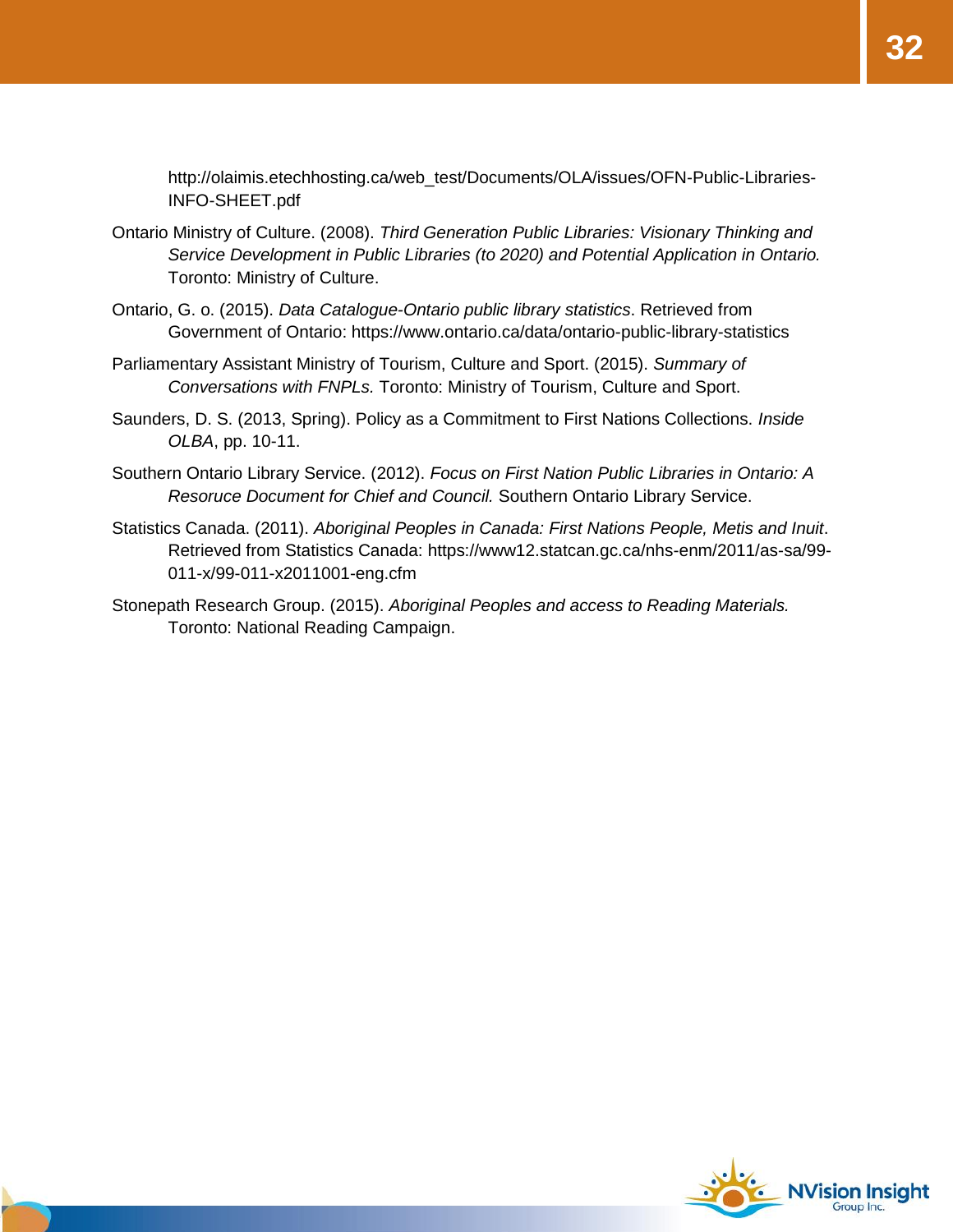http://olaimis.etechhosting.ca/web\_test/Documents/OLA/issues/OFN-Public-Libraries-INFO-SHEET.pdf

- Ontario Ministry of Culture. (2008). *Third Generation Public Libraries: Visionary Thinking and Service Development in Public Libraries (to 2020) and Potential Application in Ontario.* Toronto: Ministry of Culture.
- Ontario, G. o. (2015). *Data Catalogue-Ontario public library statistics*. Retrieved from Government of Ontario: https://www.ontario.ca/data/ontario-public-library-statistics
- Parliamentary Assistant Ministry of Tourism, Culture and Sport. (2015). *Summary of Conversations with FNPLs.* Toronto: Ministry of Tourism, Culture and Sport.
- Saunders, D. S. (2013, Spring). Policy as a Commitment to First Nations Collections. *Inside OLBA*, pp. 10-11.
- Southern Ontario Library Service. (2012). *Focus on First Nation Public Libraries in Ontario: A Resoruce Document for Chief and Council.* Southern Ontario Library Service.
- Statistics Canada. (2011). *Aboriginal Peoples in Canada: First Nations People, Metis and Inuit*. Retrieved from Statistics Canada: https://www12.statcan.gc.ca/nhs-enm/2011/as-sa/99- 011-x/99-011-x2011001-eng.cfm
- Stonepath Research Group. (2015). *Aboriginal Peoples and access to Reading Materials.* Toronto: National Reading Campaign.